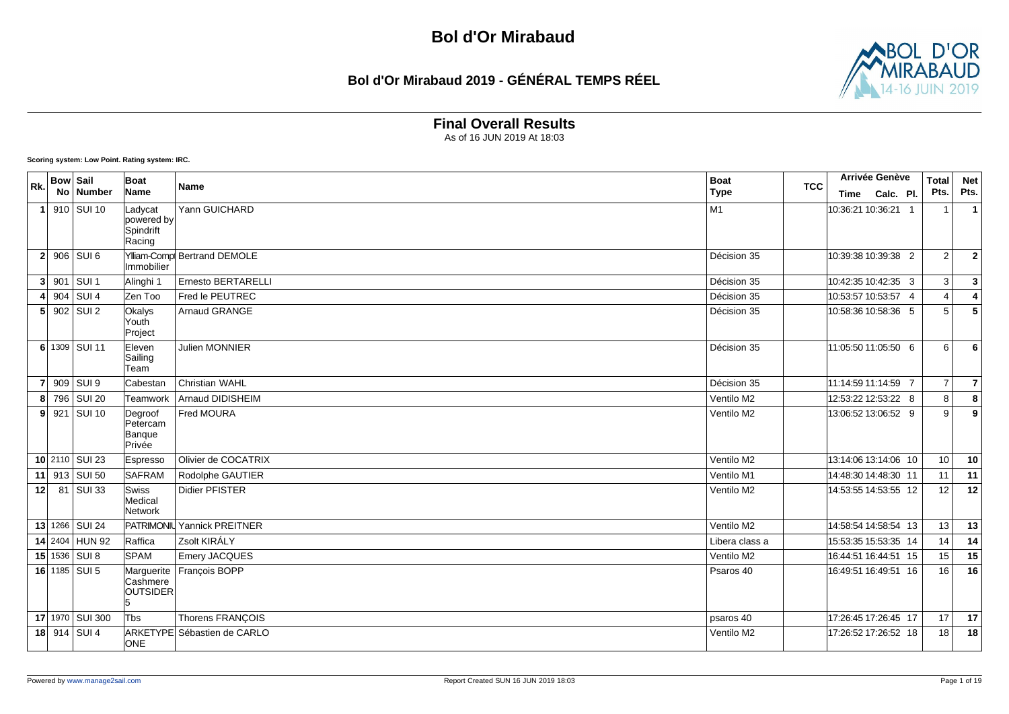## **Bol d'Or Mirabaud 2019 - GÉNÉRAL TEMPS RÉEL**



### **Final Overall Results**

As of 16 JUN 2019 At 18:03

#### **Scoring system: Low Point. Rating system: IRC.**

| Rk.             | <b>Bow Sail</b> |                 | Boat                                         | Name                        | <b>Boat</b><br><b>TCC</b> | Arrivée Genève       | <b>Total</b>   | <b>Net</b>              |
|-----------------|-----------------|-----------------|----------------------------------------------|-----------------------------|---------------------------|----------------------|----------------|-------------------------|
|                 |                 | No Number       | Name                                         |                             | <b>Type</b>               | Time Calc. Pl.       | Pts.           | Pts.                    |
|                 |                 | 1 910 SUI 10    | Ladycat<br>powered by<br>Spindrift<br>Racing | Yann GUICHARD               | M1                        | 10:36:21 10:36:21 1  | $\mathbf{1}$   | $\overline{1}$          |
|                 |                 | $2$ 906 SUI 6   | Immobilier                                   | Ylliam-Comp Bertrand DEMOLE | Décision 35               | 10:39:38 10:39:38 2  | $\overline{2}$ | $\overline{\mathbf{2}}$ |
|                 |                 | $3$ 901 SUI 1   | Alinghi 1                                    | Ernesto BERTARELLI          | Décision 35               | 10:42:35 10:42:35 3  | 3              | $\mathbf{3}$            |
|                 |                 | 4 904 SUI 4     | Zen Too                                      | Fred le PEUTREC             | Décision 35               | 10:53:57 10:53:57 4  | $\overline{4}$ | $\overline{4}$          |
|                 |                 | $5$ 902 SUI 2   | Okalys<br>Youth<br>Project                   | Arnaud GRANGE               | Décision 35               | 10:58:36 10:58:36 5  | 5              | 5                       |
|                 |                 | 6 1309 SUI 11   | Eleven<br>Sailing<br>Team                    | Julien MONNIER              | Décision 35               | 11:05:50 11:05:50 6  | 6              | 6                       |
|                 |                 | 7 909 SUI 9     | Cabestan                                     | <b>Christian WAHL</b>       | Décision 35               | 11:14:59 11:14:59 7  | $\overline{7}$ | $\overline{7}$          |
|                 |                 | 8 796 SUI 20    | Teamwork                                     | Arnaud DIDISHEIM            | Ventilo M2                | 12:53:22 12:53:22 8  | 8              | 8                       |
|                 |                 | $9$ 921 SUI 10  | Degroof<br>Petercam<br>Banque<br>Privée      | Fred MOURA                  | Ventilo M2                | 13:06:52 13:06:52 9  | 9              | 9                       |
|                 |                 | 10 2110 SUI 23  | Espresso                                     | Olivier de COCATRIX         | Ventilo M2                | 13:14:06 13:14:06 10 | 10             | 10                      |
|                 |                 | 11 913 SUI 50   | <b>SAFRAM</b>                                | Rodolphe GAUTIER            | Ventilo M1                | 14:48:30 14:48:30 11 | 11             | 11                      |
| 12 <sup>1</sup> |                 | 81 SUI 33       | Swiss<br>Medical<br>Network                  | <b>Didier PFISTER</b>       | Ventilo M2                | 14:53:55 14:53:55 12 | 12             | 12                      |
|                 |                 | 13 1266 SUI 24  |                                              | PATRIMONIL Yannick PREITNER | Ventilo M2                | 14:58:54 14:58:54 13 | 13             | 13                      |
|                 |                 | 14 2404 HUN 92  | Raffica                                      | Zsolt KIRÁLY                | Libera class a            | 15:53:35 15:53:35 14 | 14             | 14                      |
|                 |                 | 15 1536 SUI 8   | <b>SPAM</b>                                  | Emery JACQUES               | Ventilo M2                | 16:44:51 16:44:51 15 | 15             | 15                      |
|                 |                 | 16 1185 SUI 5   | Marguerite<br>Cashmere<br><b>OUTSIDER</b>    | François BOPP               | Psaros 40                 | 16:49:51 16:49:51 16 | 16             | 16                      |
|                 |                 | 17 1970 SUI 300 | Tbs                                          | Thorens FRANÇOIS            | psaros 40                 | 17:26:45 17:26:45 17 | 17             | 17                      |
|                 |                 | 18 914 SUI 4    | ONE                                          | ARKETYPE Sébastien de CARLO | Ventilo M2                | 17:26:52 17:26:52 18 | 18             | 18                      |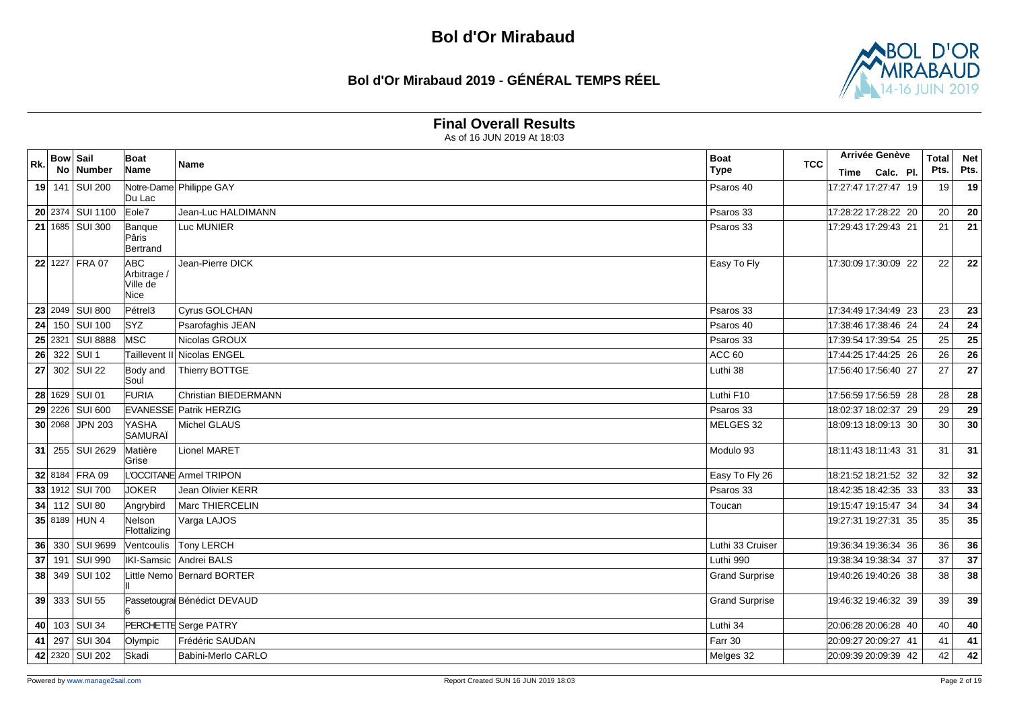## **Bol d'Or Mirabaud 2019 - GÉNÉRAL TEMPS RÉEL**



#### **Final Overall Results**

| Rk. | <b>Bow Sail</b> | No   Number      | <b>Boat</b><br>Name                     | Name                          | <b>Boat</b><br><b>Type</b> | <b>TCC</b> | <b>Arrivée Genève</b> | Time Calc. Pl. | <b>Total</b><br>Pts. | <b>Net</b><br>Pts. |
|-----|-----------------|------------------|-----------------------------------------|-------------------------------|----------------------------|------------|-----------------------|----------------|----------------------|--------------------|
|     |                 | 19 141 SUI 200   | Du Lac                                  | Notre-Dame Philippe GAY       | Psaros 40                  |            | 17:27:47 17:27:47 19  |                | 19                   | 19                 |
|     |                 | 20 2374 SUI 1100 | Eole7                                   | Jean-Luc HALDIMANN            | Psaros 33                  |            | 17:28:22 17:28:22 20  |                | 20                   | 20                 |
|     |                 | 21 1685 SUI 300  | Banque<br>Pâris<br>Bertrand             | Luc MUNIER                    | Psaros 33                  |            | 17:29:43 17:29:43 21  |                | 21                   | 21                 |
|     |                 | 22 1227 FRA 07   | ABC.<br>Arbitrage /<br>Ville de<br>Nice | Jean-Pierre DICK              | Easy To Fly                |            | 17:30:09 17:30:09 22  |                | 22                   | 22                 |
|     |                 | 23 2049 SUI 800  | Pétrel3                                 | Cyrus GOLCHAN                 | Psaros 33                  |            | 17:34:49 17:34:49 23  |                | 23                   | 23                 |
|     |                 | 24 150 SUI 100   | <b>SYZ</b>                              | Psarofaghis JEAN              | Psaros 40                  |            | 17:38:46 17:38:46 24  |                | 24                   | 24                 |
|     |                 | 25 2321 SUI 8888 | <b>IMSC</b>                             | Nicolas GROUX                 | Psaros 33                  |            | 17:39:54 17:39:54 25  |                | 25                   | 25                 |
|     |                 | 26 322 SUI 1     | Taillevent II                           | Nicolas ENGEL                 | ACC 60                     |            | 17:44:25 17:44:25 26  |                | 26                   | 26                 |
|     |                 | 27 302 SUI 22    | Body and<br>Soul                        | Thierry BOTTGE                | Luthi 38                   |            | 17:56:40 17:56:40 27  |                | 27                   | 27                 |
|     |                 | 28 1629 SUI 01   | FURIA                                   | Christian BIEDERMANN          | Luthi F10                  |            | 17:56:59 17:56:59 28  |                | 28                   | 28                 |
|     |                 | 29 2226 SUI 600  |                                         | <b>EVANESSE Patrik HERZIG</b> | Psaros 33                  |            | 18:02:37 18:02:37 29  |                | 29                   | 29                 |
|     |                 | 30 2068 JPN 203  | YASHA<br>SAMURAÏ                        | Michel GLAUS                  | MELGES 32                  |            | 18:09:13 18:09:13 30  |                | 30                   | 30                 |
|     |                 | 31 255 SUI 2629  | Matière<br>Grise                        | Lionel MARET                  | Modulo 93                  |            | 18:11:43 18:11:43 31  |                | 31                   | 31                 |
|     |                 | 32 8184 FRA 09   |                                         | L'OCCITANE Armel TRIPON       | Easy To Fly 26             |            | 18:21:52 18:21:52 32  |                | 32                   | 32                 |
|     |                 | 33 1912 SUI 700  | <b>JOKER</b>                            | <b>Jean Olivier KERR</b>      | Psaros 33                  |            | 18:42:35 18:42:35 33  |                | 33                   | 33                 |
|     |                 | 34 $112$ SUI 80  | Angrybird                               | Marc THIERCELIN               | Toucan                     |            | 19:15:47 19:15:47 34  |                | 34                   | 34                 |
|     |                 | 35 8189 HUN 4    | Nelson<br>Flottalizing                  | Varga LAJOS                   |                            |            | 19:27:31 19:27:31 35  |                | 35                   | $\overline{35}$    |
|     |                 | 36 330 SUI 9699  | Ventcoulis                              | <b>Tony LERCH</b>             | Luthi 33 Cruiser           |            | 19:36:34 19:36:34 36  |                | 36                   | 36                 |
|     |                 | 37 191 SUI 990   |                                         | IKI-Samsic Andrei BALS        | Luthi 990                  |            | 19:38:34 19:38:34 37  |                | 37                   | 37                 |
|     |                 | 38 349 SUI 102   |                                         | Little Nemo Bernard BORTER    | <b>Grand Surprise</b>      |            | 19:40:26 19:40:26 38  |                | 38                   | 38                 |
|     |                 | 39 333 SUI 55    |                                         | Passetougra Bénédict DEVAUD   | <b>Grand Surprise</b>      |            | 19:46:32 19:46:32 39  |                | 39                   | 39                 |
|     |                 | 40 103 SUI 34    |                                         | PERCHETTE Serge PATRY         | Luthi 34                   |            | 20:06:28 20:06:28 40  |                | 40                   | 40                 |
| 41  |                 | 297 SUI 304      | Olympic                                 | Frédéric SAUDAN               | Farr 30                    |            | 20:09:27 20:09:27 41  |                | 41                   | 41                 |
|     |                 | 42 2320 SUI 202  | Skadi                                   | Babini-Merlo CARLO            | Melges 32                  |            | 20:09:39 20:09:39 42  |                | 42                   | 42                 |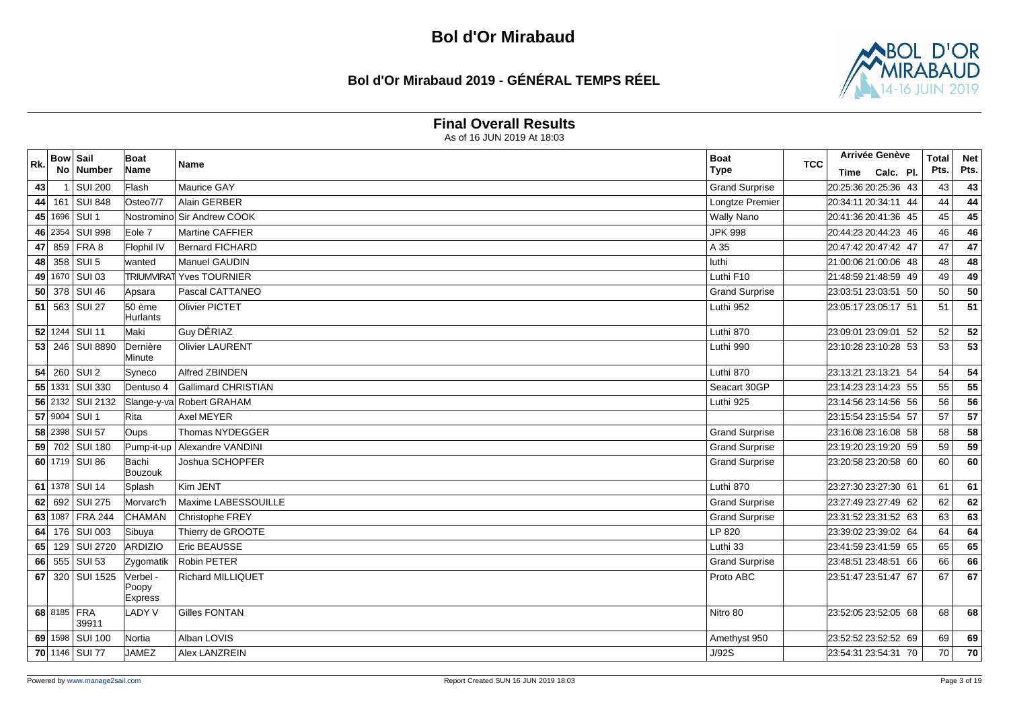### **Bol d'Or Mirabaud 2019 - GÉNÉRAL TEMPS RÉEL**



#### **Final Overall Results**

| Rk. | <b>Bow Sail</b> |                         | Boat                         | <b>Name</b>                | <b>Boat</b><br><b>TCC</b> | Arrivée Genève       | <b>Total</b> | <b>Net</b> |
|-----|-----------------|-------------------------|------------------------------|----------------------------|---------------------------|----------------------|--------------|------------|
|     |                 | No Number               | Name                         |                            | <b>Type</b>               | Calc. Pl.<br>Time    | Pts.         | Pts.       |
| 43  |                 | <b>SUI 200</b>          | Flash                        | Maurice GAY                | <b>Grand Surprise</b>     | 20:25:36 20:25:36 43 | 43           | 43         |
| 44  |                 | 161 SUI 848             | Osteo7/7                     | Alain GERBER               | Longtze Premier           | 20:34:11 20:34:11 44 | 44           | 44         |
| 45  |                 | 1696 SUI 1              | Nostromino                   | Sir Andrew COOK            | <b>Wally Nano</b>         | 20:41:36 20:41:36 45 | 45           | 45         |
|     |                 | 46 2354 SUI 998         | Eole 7                       | Martine CAFFIER            | <b>JPK 998</b>            | 20:44:23 20:44:23 46 | 46           | 46         |
| 47  | 859             | FRA 8                   | Flophil IV                   | <b>Bernard FICHARD</b>     | A 35                      | 20:47:42 20:47:42 47 | 47           | 47         |
| 48  | 358             | SUI <sub>5</sub>        | wanted                       | Manuel GAUDIN              | luthi                     | 21:00:06 21:00:06 48 | 48           | 48         |
|     |                 | 49 1670 SUI 03          | <b>TRIUMVIRAT</b>            | Yves TOURNIER              | Luthi F10                 | 21:48:59 21:48:59 49 | 49           | 49         |
| 50  |                 | 378 SUI 46              | Apsara                       | Pascal CATTANEO            | <b>Grand Surprise</b>     | 23:03:51 23:03:51 50 | 50           | 50         |
| 51  |                 | 563 SUI 27              | 50 ème                       | <b>Olivier PICTET</b>      | Luthi 952                 | 23:05:17 23:05:17 51 | 51           | 51         |
|     |                 |                         | Hurlants                     |                            |                           |                      |              |            |
|     |                 | 52 1244 SUI 11          | Maki                         | Guy DÉRIAZ                 | Luthi 870                 | 23:09:01 23:09:01 52 | 52           | 52         |
|     |                 | 53 246 SUI 8890         | Dernière<br>Minute           | <b>Olivier LAURENT</b>     | Luthi 990                 | 23:10:28 23:10:28 53 | 53           | 53         |
| 54  |                 | 260 SUI 2               | Syneco                       | Alfred ZBINDEN             | Luthi 870                 | 23:13:21 23:13:21 54 | 54           | 54         |
|     |                 | 55 1331 SUI 330         | Dentuso 4                    | <b>Gallimard CHRISTIAN</b> | Seacart 30GP              | 23:14:23 23:14:23 55 | 55           | 55         |
|     |                 | 56 2132 SUI 2132        |                              | Slange-y-va Robert GRAHAM  | Luthi 925                 | 23:14:56 23:14:56 56 | 56           | 56         |
|     | 57 9004         | $\overline{\big $ SUI 1 | <b>Rita</b>                  | <b>Axel MEYER</b>          |                           | 23:15:54 23:15:54 57 | 57           | 57         |
|     |                 | 58 2398 SUI 57          | Oups                         | Thomas NYDEGGER            | <b>Grand Surprise</b>     | 23:16:08 23:16:08 58 | 58           | 58         |
|     |                 | 59 702 SUI 180          | Pump-it-up                   | Alexandre VANDINI          | <b>Grand Surprise</b>     | 23:19:20 23:19:20 59 | 59           | 59         |
|     |                 | 60 1719 SUI 86          | Bachi<br>Bouzouk             | Joshua SCHOPFER            | <b>Grand Surprise</b>     | 23:20:58 23:20:58 60 | 60           | 60         |
|     |                 | 61 1378 SUI 14          | Splash                       | Kim JENT                   | Luthi 870                 | 23:27:30 23:27:30 61 | 61           | 61         |
| 62  | 692             | <b>SUI 275</b>          | Morvarc'h                    | Maxime LABESSOUILLE        | <b>Grand Surprise</b>     | 23:27:49 23:27:49 62 | 62           | 62         |
|     | 63 1087         | <b>FRA 244</b>          | CHAMAN                       | Christophe FREY            | <b>Grand Surprise</b>     | 23:31:52 23:31:52 63 | 63           | 63         |
| 64  |                 | 176 SUI 003             | Sibuya                       | Thierry de GROOTE          | LP 820                    | 23:39:02 23:39:02 64 | 64           | 64         |
| 65  |                 | 129 SUI 2720            | <b>ARDIZIO</b>               | Eric BEAUSSE               | Luthi 33                  | 23:41:59 23:41:59 65 | 65           | 65         |
| 66  |                 | 555 SUI 53              | Zygomatik                    | Robin PETER                | <b>Grand Surprise</b>     | 23:48:51 23:48:51 66 | 66           | 66         |
| 67  |                 | 320 SUI 1525            | Verbel -<br>Poopy<br>Express | <b>Richard MILLIQUET</b>   | Proto ABC                 | 23:51:47 23:51:47 67 | 67           | 67         |
|     |                 | 68 8185 FRA<br>39911    | <b>LADY V</b>                | <b>Gilles FONTAN</b>       | Nitro 80                  | 23:52:05 23:52:05 68 | 68           | 68         |
|     |                 | 69 1598 SUI 100         | Nortia                       | Alban LOVIS                | Amethyst 950              | 23:52:52 23:52:52 69 | 69           | 69         |
|     |                 | 70 1146 SUI 77          | <b>JAMEZ</b>                 | Alex LANZREIN              | J/92S                     | 23:54:31 23:54:31 70 | 70           | 70         |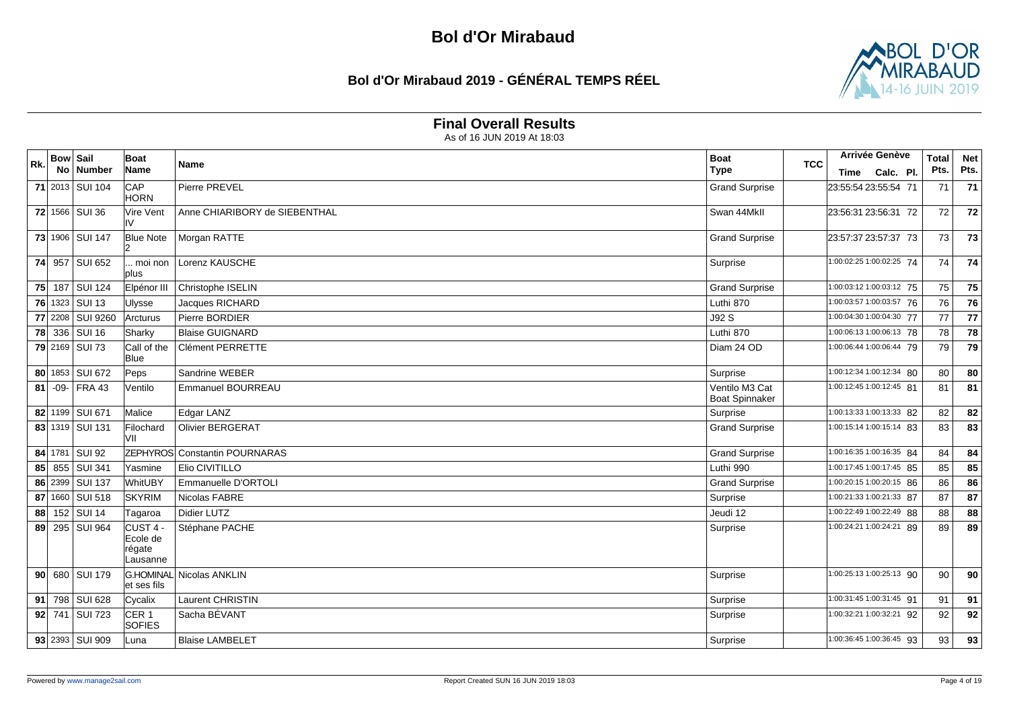## **Bol d'Or Mirabaud 2019 - GÉNÉRAL TEMPS RÉEL**



#### **Final Overall Results**

| Rk. | <b>Bow Sail</b> | No   Number      | Boat<br>Name                               | <b>Name</b>                   | <b>Boat</b><br><b>Type</b>              | <b>TCC</b> |                                     | Arrivée Genève<br>Time Calc. Pl. | <b>Total</b><br>Pts. | <b>Net</b><br>Pts. |
|-----|-----------------|------------------|--------------------------------------------|-------------------------------|-----------------------------------------|------------|-------------------------------------|----------------------------------|----------------------|--------------------|
|     |                 | 71 2013 SUI 104  | CAP<br><b>HORN</b>                         | <b>Pierre PREVEL</b>          | <b>Grand Surprise</b>                   |            | 23:55:54 23:55:54 71                |                                  | 71                   | 71                 |
|     |                 | 72 1566 SUI 36   | Vire Vent<br>I۷                            | Anne CHIARIBORY de SIEBENTHAL | Swan 44MkII                             |            | 23:56:31 23:56:31 72                |                                  | 72                   | 72                 |
|     |                 | 73 1906 SUI 147  | <b>Blue Note</b>                           | Morgan RATTE                  | <b>Grand Surprise</b>                   |            | 23:57:37 23:57:37 73                |                                  | 73                   | 73                 |
|     |                 | 74 957 SUI 652   | moi non<br>plus                            | Lorenz KAUSCHE                | Surprise                                |            | 1:00:02:25 1:00:02:25 74            |                                  | 74                   | 74                 |
| 75  |                 | 187 SUI 124      | Elpénor III                                | Christophe ISELIN             | <b>Grand Surprise</b>                   |            | 1:00:03:12 1:00:03:12 75            |                                  | 75                   | 75                 |
|     |                 | 76 1323 SUI 13   | <b>Ulysse</b>                              | Jacques RICHARD               | Luthi 870                               |            | 1:00:03:57 1:00:03:57 76            |                                  | 76                   | 76                 |
|     |                 | 77 2208 SUI 9260 | Arcturus                                   | Pierre BORDIER                | J92 S                                   |            | 1:00:04:30 1:00:04:30 77            |                                  | 77                   | 77                 |
|     |                 | 78 336 SUI 16    | Sharky                                     | <b>Blaise GUIGNARD</b>        | Luthi 870                               |            | 1:00:06:13 1:00:06:13 78            |                                  | 78                   | 78                 |
|     |                 | 79 2169 SUI 73   | Call of the<br><b>Blue</b>                 | Clément PERRETTE              | Diam 24 OD                              |            | 1:00:06:44 1:00:06:44 79            |                                  | 79                   | 79                 |
|     |                 | 80 1853 SUI 672  | Peps                                       | Sandrine WEBER                | Surprise                                |            | 1:00:12:34 1:00:12:34 80            |                                  | 80                   | 80                 |
| 81  |                 | $-09$ - FRA 43   | Ventilo                                    | Emmanuel BOURREAU             | Ventilo M3 Cat<br><b>Boat Spinnaker</b> |            | 1:00:12:45 1:00:12:45 81            |                                  | 81                   | 81                 |
|     |                 | 82 1199 SUI 671  | Malice                                     | Edgar LANZ                    | Surprise                                |            | 1:00:13:33 1:00:13:33 82            |                                  | 82                   | 82                 |
|     |                 | 83 1319 SUI 131  | Filochard<br>۷II                           | <b>Olivier BERGERAT</b>       | <b>Grand Surprise</b>                   |            | 1:00:15:14 1:00:15:14 83            |                                  | 83                   | 83                 |
|     |                 | 84 1781 SUI 92   |                                            | ZEPHYROS Constantin POURNARAS | <b>Grand Surprise</b>                   |            | 1:00:16:35 1:00:16:35 84            |                                  | 84                   | 84                 |
| 85  |                 | 855 SUI 341      | Yasmine                                    | Elio CIVITILLO                | Luthi 990                               |            | 1:00:17:45 1:00:17:45 85            |                                  | 85                   | 85                 |
|     |                 | 86 2399 SUI 137  | WhitUBY                                    | Emmanuelle D'ORTOLI           | <b>Grand Surprise</b>                   |            | 1:00:20:15 1:00:20:15 86            |                                  | 86                   | 86                 |
| 87  | 1660            | <b>SUI 518</b>   | <b>SKYRIM</b>                              | Nicolas FABRE                 | Surprise                                |            | 1:00:21:33 1:00:21:33 87            |                                  | 87                   | 87                 |
| 88  |                 | 152 SUI 14       | Tagaroa                                    | <b>Didier LUTZ</b>            | Jeudi 12                                |            | 1:00:22:49 1:00:22:49 88            |                                  | 88                   | 88                 |
| 89  |                 | 295   SUI 964    | CUST 4 -<br>Ecole de<br>régate<br>Lausanne | Stéphane PACHE                | Surprise                                |            | 1:00:24:21 1:00:24:21 89            |                                  | 89                   | 89                 |
|     |                 | 90 680 SUI 179   | et ses fils                                | G.HOMINAL  Nicolas ANKLIN     | Surprise                                |            | 1:00:25:13 1:00:25:13 90            |                                  | 90                   | 90                 |
| 91  |                 | 798 SUI 628      | Cycalix                                    | <b>Laurent CHRISTIN</b>       | Surprise                                |            | 1:00:31:45 1:00:31:45 91            |                                  | 91                   | 91                 |
|     |                 | 92 741 SUI 723   | CER <sub>1</sub><br><b>SOFIES</b>          | Sacha BÉVANT                  | Surprise                                |            | $\overline{1:00:}32:211:00:32:2192$ |                                  | 92                   | 92                 |
|     |                 | 93 2393 SUI 909  | Luna                                       | <b>Blaise LAMBELET</b>        | Surprise                                |            | $\overline{1:00:36:451:00:36:4593}$ |                                  | 93                   | 93                 |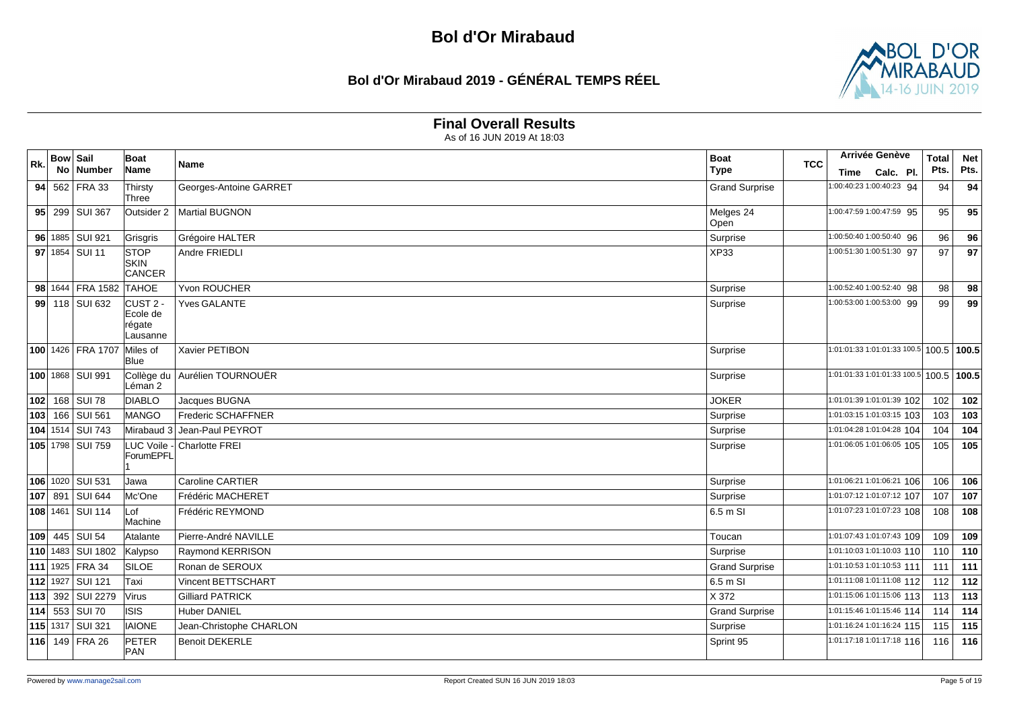## **Bol d'Or Mirabaud 2019 - GÉNÉRAL TEMPS RÉEL**



#### **Final Overall Results**

|     | <b>Bow Sail</b> |                    | Boat               |                            | <b>Boat</b>           |     |                                         | Arrivée Genève | <b>Total</b> | <b>Net</b> |
|-----|-----------------|--------------------|--------------------|----------------------------|-----------------------|-----|-----------------------------------------|----------------|--------------|------------|
| Rk. |                 | No Number          | Name               | Name                       | <b>Type</b>           | TCC | Time                                    | Calc. Pl.      | Pts.         | Pts.       |
|     |                 | 94 562 FRA 33      | Thirsty            | Georges-Antoine GARRET     | <b>Grand Surprise</b> |     | 1:00:40:23 1:00:40:23 94                |                | 94           | 94         |
|     |                 |                    | Three              |                            |                       |     |                                         |                |              |            |
|     |                 | 95 299 SUI 367     | Outsider 2         | Martial BUGNON             | Melges 24<br>Open     |     | 1:00:47:59 1:00:47:59 95                |                | 95           | 95         |
|     |                 | 96 1885 SUI 921    | Grisgris           | Grégoire HALTER            | Surprise              |     | 1:00:50:40 1:00:50:40 96                |                | 96           | 96         |
|     |                 | 97 1854 SUI 11     | <b>STOP</b>        | Andre FRIEDLI              |                       |     | 1:00:51:30 1:00:51:30 97                |                | 97           | 97         |
|     |                 |                    | <b>SKIN</b>        |                            | <b>XP33</b>           |     |                                         |                |              |            |
|     |                 |                    | <b>CANCER</b>      |                            |                       |     |                                         |                |              |            |
|     |                 | 98 1644 FRA 1582   | <b>TAHOE</b>       | <b>Yvon ROUCHER</b>        | Surprise              |     | 1:00:52:40 1:00:52:40 98                |                | 98           | 98         |
|     |                 | 99 118 SUI 632     | CUST <sub>2</sub>  | <b>Yves GALANTE</b>        | Surprise              |     | 1:00:53:00 1:00:53:00 99                |                | 99           | 99         |
|     |                 |                    | Ecole de           |                            |                       |     |                                         |                |              |            |
|     |                 |                    | régate<br>Lausanne |                            |                       |     |                                         |                |              |            |
|     |                 | 100 1426 FRA 1707  | Miles of           | Xavier PETIBON             | Surprise              |     | 1:01:01:33 1:01:01:33 100.5 100.5 100.5 |                |              |            |
|     |                 |                    | <b>Blue</b>        |                            |                       |     |                                         |                |              |            |
|     |                 | 100 1868   SUI 991 | Collège du         | Aurélien TOURNOUËR         | Surprise              |     | 1:01:01:33 1:01:01:33 100.5 100.5 100.5 |                |              |            |
|     |                 |                    | Léman 2            |                            |                       |     |                                         |                |              |            |
|     |                 | 102 168 SUI 78     | <b>DIABLO</b>      | Jacques BUGNA              | <b>JOKER</b>          |     | 1:01:01:39 1:01:01:39 102               |                | 102          | 102        |
|     |                 | 103 166 SUI 561    | MANGO              | <b>Frederic SCHAFFNER</b>  | Surprise              |     | 1:01:03:15 1:01:03:15 103               |                | 103          | 103        |
|     |                 | 104 1514 SUI 743   | Mirabaud 3         | Jean-Paul PEYROT           | Surprise              |     | 1:01:04:28 1:01:04:28 104               |                | 104          | 104        |
|     |                 | 105 1798 SUI 759   |                    | LUC Voile - Charlotte FREI | Surprise              |     | 1:01:06:05 1:01:06:05 105               |                | 105          | 105        |
|     |                 |                    | <b>ForumEPFL</b>   |                            |                       |     |                                         |                |              |            |
|     |                 | 106 1020 SUI 531   | Jawa               | <b>Caroline CARTIER</b>    | Surprise              |     | 1:01:06:21 1:01:06:21 106               |                | 106          | 106        |
|     |                 | 107 891 SUI 644    | Mc'One             | Frédéric MACHERET          | Surprise              |     | 1:01:07:12 1:01:07:12 107               |                | 107          | 107        |
|     |                 | 108 1461 SUI 114   | Lof                | Frédéric REYMOND           | 6.5 m SI              |     | 1:01:07:23 1:01:07:23 108               |                | 108          | 108        |
|     |                 |                    | Machine            |                            |                       |     |                                         |                |              |            |
|     |                 | 109 445 SUI 54     | Atalante           | Pierre-André NAVILLE       | Toucan                |     | 1:01:07:43 1:01:07:43 109               |                | 109          | 109        |
|     |                 | 110 1483 SUI 1802  | Kalypso            | Raymond KERRISON           | Surprise              |     | 1:01:10:03 1:01:10:03 110               |                | 110          | 110        |
|     |                 | 111 1925 FRA 34    | <b>SILOE</b>       | Ronan de SEROUX            | <b>Grand Surprise</b> |     | 1:01:10:53 1:01:10:53 111               |                | 111          | 111        |
|     | $112$ 1927      | <b>SUI 121</b>     | Taxi               | <b>Vincent BETTSCHART</b>  | 6.5 m SI              |     | $\sqrt{1:01}:11:081:01:11:08112$        |                | 112          | 112        |
|     |                 | 113 392 SUI 2279   | <b>Virus</b>       | <b>Gilliard PATRICK</b>    | X 372                 |     | 1:01:15:06 1:01:15:06 113               |                | 113          | 113        |
|     |                 | 114 553 SUI 70     | <b>ISIS</b>        | <b>Huber DANIEL</b>        | <b>Grand Surprise</b> |     | 1:01:15:46 1:01:15:46 114               |                | 114          | 114        |
|     |                 | 115 1317 SUI 321   | <b>IAIONE</b>      | Jean-Christophe CHARLON    | Surprise              |     | 1:01:16:24 1:01:16:24 115               |                | 115          | 115        |
|     |                 | 116 149 FRA 26     | PETER              | <b>Benoit DEKERLE</b>      | Sprint 95             |     | 1:01:17:18 1:01:17:18 116               |                | 116          | 116        |
|     |                 |                    | PAN                |                            |                       |     |                                         |                |              |            |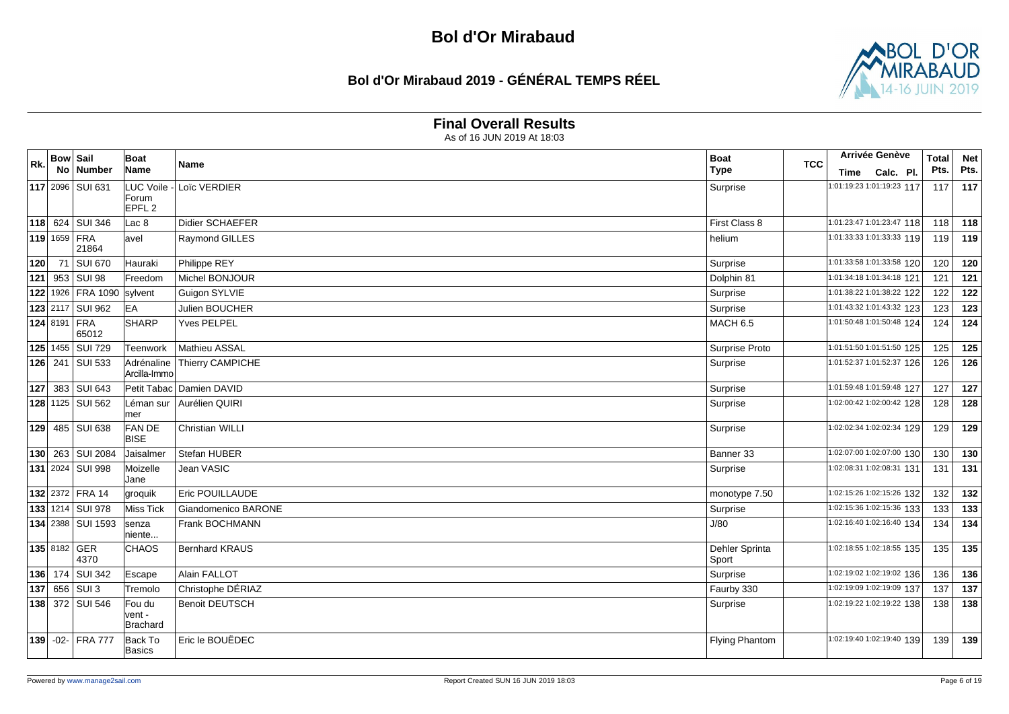## **Bol d'Or Mirabaud 2019 - GÉNÉRAL TEMPS RÉEL**



#### **Final Overall Results**

| Rk. | <b>Bow Sail</b> |                        | Boat                         |                          | <b>Boat</b>             | <b>TCC</b> | Arrivée Genève              | <b>Total</b> | <b>Net</b> |
|-----|-----------------|------------------------|------------------------------|--------------------------|-------------------------|------------|-----------------------------|--------------|------------|
|     |                 | No   Number            | Name                         | Name                     | <b>Type</b>             |            | Time Calc. Pl.              | Pts.         | Pts.       |
|     |                 | 117 2096 SUI 631       |                              | LUC Voile - Loïc VERDIER | Surprise                |            | 1:01:19:23 1:01:19:23 117   | 117          | 117        |
|     |                 |                        | Forum<br>EPFL <sub>2</sub>   |                          |                         |            |                             |              |            |
|     |                 | 118 624 SUI 346        | Lac 8                        | <b>Didier SCHAEFER</b>   | First Class 8           |            | $1:01:23:47$ 1:01:23:47 118 | 118          | 118        |
|     | 119 1659 FRA    | 21864                  | lavel                        | Raymond GILLES           | helium                  |            | 1:01:33:33 1:01:33:33 119   | 119          | 119        |
| 120 | 71              | <b>SUI 670</b>         | Hauraki                      | Philippe REY             | Surprise                |            | 1:01:33:58 1:01:33:58 120   | 120          | 120        |
| 121 |                 | 953 SUI 98             | Freedom                      | Michel BONJOUR           | Dolphin 81              |            | 1:01:34:18 1:01:34:18 121   | 121          | 121        |
|     |                 | 122 1926 FRA 1090      | sylvent                      | Guigon SYLVIE            | Surprise                |            | 1:01:38:22 1:01:38:22 122   | 122          | 122        |
|     |                 | 123 2117 SUI 962       | <b>EA</b>                    | <b>Julien BOUCHER</b>    | Surprise                |            | 1:01:43:32 1:01:43:32 123   | 123          | 123        |
|     | 124 8191 FRA    | 65012                  | SHARP                        | <b>Yves PELPEL</b>       | <b>MACH 6.5</b>         |            | 1:01:50:48 1:01:50:48 124   | 124          | 124        |
|     |                 | 125 1455 SUI 729       | <b>Teenwork</b>              | Mathieu ASSAL            | Surprise Proto          |            | 1:01:51:50 1:01:51:50 125   | 125          | 125        |
|     |                 | 126 241 SUI 533        | Adrénaline<br>Arcilla-Immo   | Thierry CAMPICHE         | Surprise                |            | 1:01:52:37 1:01:52:37 126   | 126          | 126        |
| 127 |                 | 383 SUI 643            |                              | Petit Tabac Damien DAVID | Surprise                |            | 1:01:59:48 1:01:59:48 127   | 127          | 127        |
|     |                 | 128 1125 SUI 562       | Léman sur<br>mer             | Aurélien QUIRI           | Surprise                |            | 1:02:00:42 1:02:00:42 128   | 128          | 128        |
|     |                 | 129 485 SUI 638        | <b>FAN DE</b><br><b>BISE</b> | <b>Christian WILLI</b>   | Surprise                |            | 1:02:02:34 1:02:02:34 129   | 129          | 129        |
|     |                 | 130 263 SUI 2084       | Jaisalmer                    | Stefan HUBER             | Banner 33               |            | 1:02:07:00 1:02:07:00 130   | 130          | 130        |
|     |                 | 131 2024 SUI 998       | Moizelle<br>Jane             | Jean VASIC               | Surprise                |            | 1:02:08:31 1:02:08:31 131   | 131          | 131        |
|     |                 | 132 2372 FRA 14        | groquik                      | Eric POUILLAUDE          | monotype 7.50           |            | 1:02:15:26 1:02:15:26 132   | 132          | 132        |
|     |                 | 133 1214 SUI 978       | Miss Tick                    | Giandomenico BARONE      | Surprise                |            | 1:02:15:36 1:02:15:36 133   | 133          | 133        |
|     |                 | 134 2388 SUI 1593      | senza<br>niente              | Frank BOCHMANN           | J/80                    |            | 1:02:16:40 1:02:16:40 134   | 134          | 134        |
|     |                 | 135 8182 GER<br>4370   | <b>CHAOS</b>                 | <b>Bernhard KRAUS</b>    | Dehler Sprinta<br>Sport |            | 1:02:18:55 1:02:18:55 135   | 135          | 135        |
|     |                 | <b>136</b> 174 SUI 342 | Escape                       | Alain FALLOT             | Surprise                |            | 1:02:19:02 1:02:19:02 136   | 136          | 136        |
| 137 |                 | 656 SUI 3              | Tremolo                      | Christophe DÉRIAZ        | Faurby 330              |            | 1:02:19:09 1:02:19:09 137   | 137          | 137        |
|     |                 | <b>138</b> 372 SUI 546 | Fou du<br>vent -<br>Brachard | <b>Benoit DEUTSCH</b>    | Surprise                |            | 1:02:19:22 1:02:19:22 138   | 138          | 138        |
|     |                 | 139 -02- FRA 777       | Back To<br>Basics            | Eric le BOUËDEC          | <b>Flying Phantom</b>   |            | 1:02:19:40 1:02:19:40 139   | 139          | 139        |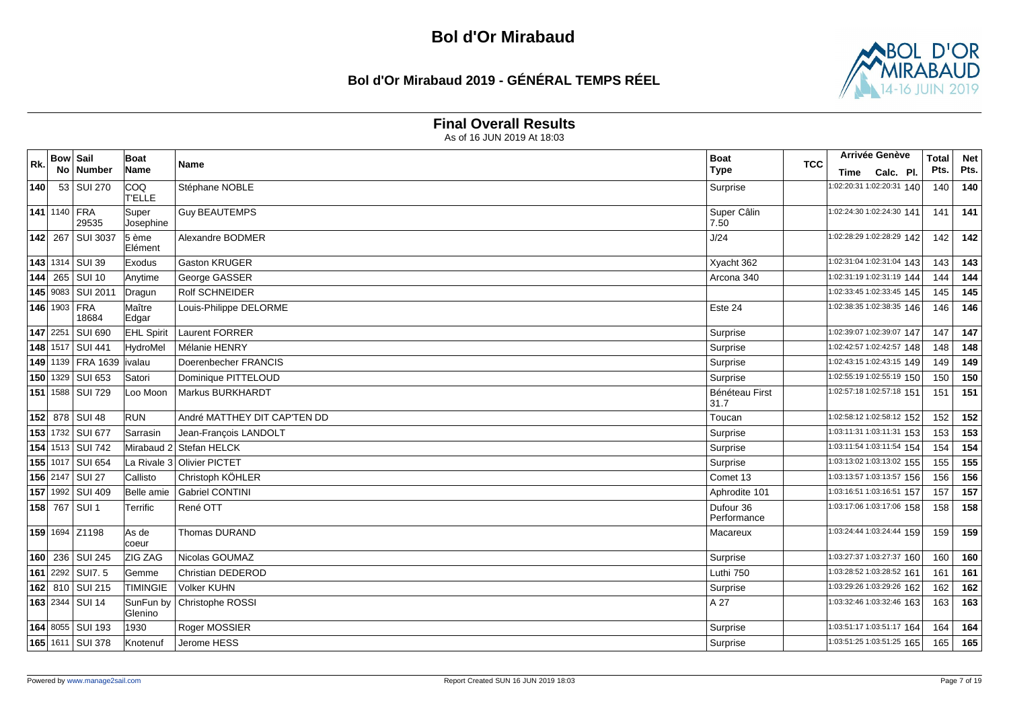## **Bol d'Or Mirabaud 2019 - GÉNÉRAL TEMPS RÉEL**



#### **Final Overall Results**

| Rk.        | <b>Bow Sail</b> |                       | Boat                        | Name                         | <b>Boat</b>              | <b>TCC</b> | Arrivée Genève                        |                | <b>Total</b> | <b>Net</b> |
|------------|-----------------|-----------------------|-----------------------------|------------------------------|--------------------------|------------|---------------------------------------|----------------|--------------|------------|
|            |                 | No Number             | Name                        |                              | <b>Type</b>              |            |                                       | Time Calc. Pl. | Pts.         | Pts.       |
| 140        |                 | 53 SUI 270            | ICOQ<br><b>T'ELLE</b>       | Stéphane NOBLE               | Surprise                 |            | 1:02:20:31 1:02:20:31 140             |                | 140          | 140        |
|            |                 | 141 1140 FRA<br>29535 | Super<br>Josephine          | <b>Guy BEAUTEMPS</b>         | Super Câlin<br>7.50      |            | 1:02:24:30 1:02:24:30 141             |                | 141          | 141        |
|            |                 | 142 267 SUI 3037      | $5 \n\text{ème}$<br>Elément | Alexandre BODMER             | J/24                     |            | 1:02:28:29 1:02:28:29 142             |                | 142          | 142        |
|            |                 | 143 1314 SUI 39       | Exodus                      | <b>Gaston KRUGER</b>         | Xyacht 362               |            | 1:02:31:04 1:02:31:04 143             |                | 143          | 143        |
|            |                 | 144 265 SUI 10        | Anytime                     | George GASSER                | Arcona 340               |            | 1:02:31:19 1:02:31:19 144             |                | 144          | 144        |
|            |                 | 145 9083 SUI 2011     | Dragun                      | Rolf SCHNEIDER               |                          |            | 1:02:33:45 1:02:33:45 145             |                | 145          | 145        |
|            |                 | 146 1903 FRA<br>18684 | Maître<br>Edgar             | Louis-Philippe DELORME       | Este 24                  |            | $\overline{1:02:38:351:02:38:35}$ 146 |                | 146          | 146        |
| $147$ 2251 |                 | <b>SUI 690</b>        | <b>EHL Spirit</b>           | Laurent FORRER               | Surprise                 |            | 1:02:39:07 1:02:39:07 147             |                | 147          | 147        |
|            |                 | 148 1517 SUI 441      | HydroMel                    | Mélanie HENRY                | Surprise                 |            | 1:02:42:57 1:02:42:57 148             |                | 148          | 148        |
|            |                 | 149 1139 FRA 1639     | ivalau                      | Doerenbecher FRANCIS         | Surprise                 |            | 1:02:43:15 1:02:43:15 149             |                | 149          | 149        |
|            |                 | 150 1329 SUI 653      | Satori                      | Dominique PITTELOUD          | Surprise                 |            | 1:02:55:19 1:02:55:19 150             |                | 150          | 150        |
|            |                 | 151   1588   SUI 729  | Loo Moon                    | Markus BURKHARDT             | Bénéteau First<br>31.7   |            | 1:02:57:18 1:02:57:18 151             |                | 151          | 151        |
|            |                 | 152 878 SUI 48        | <b>RUN</b>                  | André MATTHEY DIT CAP'TEN DD | Toucan                   |            | 1:02:58:12 1:02:58:12 152             |                | 152          | 152        |
|            |                 | 153 1732 SUI 677      | Sarrasin                    | Jean-François LANDOLT        | Surprise                 |            | 1:03:11:31 1:03:11:31 153             |                | 153          | 153        |
|            |                 | 154 1513 SUI 742      |                             | Mirabaud 2 Stefan HELCK      | Surprise                 |            | 1:03:11:54 1:03:11:54 154             |                | 154          | 154        |
|            |                 | 155 1017 SUI 654      |                             | La Rivale 3 Olivier PICTET   | Surprise                 |            | 1:03:13:02 1:03:13:02 155             |                | 155          | 155        |
|            |                 | 156 2147 SUI 27       | Callisto                    | Christoph KÖHLER             | Comet 13                 |            | 1:03:13:57 1:03:13:57 156             |                | 156          | 156        |
|            |                 | 157 1992 SUI 409      | Belle amie                  | <b>Gabriel CONTINI</b>       | Aphrodite 101            |            | 1:03:16:51 1:03:16:51 157             |                | 157          | 157        |
|            |                 | 158 767 SUI 1         | <b>Terrific</b>             | René OTT                     | Dufour 36<br>Performance |            | 1:03:17:06 1:03:17:06 158             |                | 158          | 158        |
|            |                 | 159 1694 Z1198        | As de<br>coeur              | Thomas DURAND                | Macareux                 |            | 1:03:24:44 1:03:24:44 159             |                | 159          | 159        |
|            |                 | 160 236 SUI 245       | ZIG ZAG                     | Nicolas GOUMAZ               | Surprise                 |            | 1:03:27:37 1:03:27:37 160             |                | 160          | 160        |
|            |                 | 161 2292 SUIT. 5      | <b>Gemme</b>                | Christian DEDEROD            | Luthi 750                |            | 1:03:28:52 1:03:28:52 161             |                | 161          | 161        |
|            |                 | 162 810 SUI 215       | <b>TIMINGIE</b>             | Volker KUHN                  | Surprise                 |            | 1:03:29:26 1:03:29:26 162             |                | 162          | 162        |
|            |                 | 163 2344 SUI 14       | SunFun by<br>Glenino        | Christophe ROSSI             | A 27                     |            | 1:03:32:46 1:03:32:46 163             |                | 163          | 163        |
|            |                 | 164 8055 SUI 193      | 1930                        | Roger MOSSIER                | Surprise                 |            | 1:03:51:17 1:03:51:17 164             |                | 164          | 164        |
|            |                 | 165 1611 SUI 378      | Knotenuf                    | Jerome HESS                  | Surprise                 |            | 1:03:51:25 1:03:51:25 165             |                | 165          | 165        |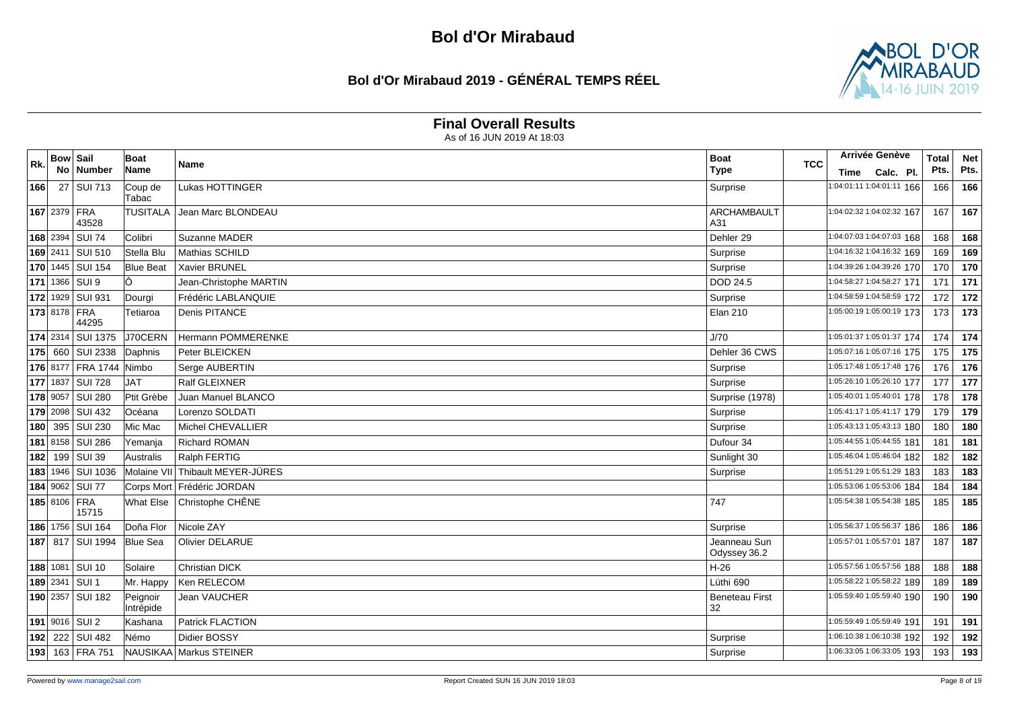## **Bol d'Or Mirabaud 2019 - GÉNÉRAL TEMPS RÉEL**



#### **Final Overall Results**

| Rk.        | <b>Bow Sail</b> | No Number               | Boat<br>Name          | Name                       | <b>Boat</b><br>Type          | <b>TCC</b> | Arrivée Genève            | Time Calc. Pl. | <b>Total</b><br>Pts. | <b>Net</b><br>Pts. |
|------------|-----------------|-------------------------|-----------------------|----------------------------|------------------------------|------------|---------------------------|----------------|----------------------|--------------------|
| 166        |                 | 27 SUI 713              | Coup de<br>Tabac      | Lukas HOTTINGER            | Surprise                     |            | 1:04:01:11 1:04:01:11 166 |                | 166                  | 166                |
|            |                 | 167 2379 FRA<br>43528   | <b>TUSITALA</b>       | Jean Marc BLONDEAU         | <b>ARCHAMBAULT</b><br>A31    |            | 1:04:02:32 1:04:02:32 167 |                | 167                  | 167                |
| $168$ 2394 |                 | <b>SUI 74</b>           | Colibri               | Suzanne MADER              | Dehler 29                    |            | 1:04:07:03 1:04:07:03 168 |                | 168                  | 168                |
|            |                 | 169 2411 SUI 510        | Stella Blu            | Mathias SCHILD             | Surprise                     |            | 1:04:16:32 1:04:16:32 169 |                | 169                  | 169                |
|            |                 | 170 1445 SUI 154        | <b>Blue Beat</b>      | <b>Xavier BRUNEL</b>       | Surprise                     |            | 1:04:39:26 1:04:39:26 170 |                | 170                  | 170                |
|            |                 | 171 1366 SUI 9          | lÔ.                   | Jean-Christophe MARTIN     | <b>DOD 24.5</b>              |            | 1:04:58:27 1:04:58:27 171 |                | 171                  | 171                |
|            |                 | 172 1929 SUI 931        | Dourgi                | Frédéric LABLANQUIE        | Surprise                     |            | 1:04:58:59 1:04:58:59 172 |                | 172                  | 172                |
|            |                 | 173 8178 FRA<br>44295   | Tetiaroa              | Denis PITANCE              | <b>Elan 210</b>              |            | 1:05:00:19 1:05:00:19 173 |                | 173                  | 173                |
|            |                 | 174 2314 SUI 1375       | J70CERN               | Hermann POMMERENKE         | J/70                         |            | 1:05:01:37 1:05:01:37 174 |                | 174                  | 174                |
| 175 660    |                 | <b>SUI 2338</b>         | Daphnis               | Peter BLEICKEN             | Dehler 36 CWS                |            | 1:05:07:16 1:05:07:16 175 |                | 175                  | 175                |
|            |                 | 176 8177 FRA 1744 Nimbo |                       | Serge AUBERTIN             | Surprise                     |            | 1:05:17:48 1:05:17:48 176 |                | 176                  | 176                |
| 177 1837   |                 | <b>SUI 728</b>          | JAT                   | Ralf GLEIXNER              | Surprise                     |            | 1:05:26:10 1:05:26:10 177 |                | 177                  | 177                |
| 178 9057   |                 | <b>SUI 280</b>          | Ptit Grèbe            | Juan Manuel BLANCO         | Surprise (1978)              |            | 1:05:40:01 1:05:40:01 178 |                | 178                  | 178                |
|            |                 | 179 2098 SUI 432        | <b>Océana</b>         | Lorenzo SOLDATI            | Surprise                     |            | 1:05:41:17 1:05:41:17 179 |                | 179                  | 179                |
| 180        |                 | 395 SUI 230             | Mic Mac               | Michel CHEVALLIER          | Surprise                     |            | 1:05:43:13 1:05:43:13 180 |                | 180                  | 180                |
|            |                 | 181 8158 SUI 286        | Yemanja               | <b>Richard ROMAN</b>       | Dufour 34                    |            | 1:05:44:55 1:05:44:55 181 |                | 181                  | 181                |
| 182        |                 | 199 SUI 39              | Australis             | Ralph FERTIG               | Sunlight 30                  |            | 1:05:46:04 1:05:46:04 182 |                | 182                  | 182                |
|            |                 | 183 1946 SUI 1036       | Molaine VII           | Thibault MEYER-JÜRES       | Surprise                     |            | 1:05:51:29 1:05:51:29 183 |                | 183                  | 183                |
|            |                 | 184 9062 SUI 77         |                       | Corps Mort Frédéric JORDAN |                              |            | 1:05:53:06 1:05:53:06 184 |                | 184                  | 184                |
|            |                 | 185 8106 FRA<br>15715   | What Else             | Christophe CHÊNE           | 747                          |            | 1:05:54:38 1:05:54:38 185 |                | 185                  | 185                |
|            |                 | 186 1756 SUI 164        | Doña Flor             | Nicole ZAY                 | Surprise                     |            | 1:05:56:37 1:05:56:37 186 |                | 186                  | 186                |
|            |                 | 187 817 SUI 1994        | <b>Blue Sea</b>       | <b>Olivier DELARUE</b>     | Jeanneau Sun<br>Odyssey 36.2 |            | 1:05:57:01 1:05:57:01 187 |                | 187                  | 187                |
|            |                 | 188 1081 SUI 10         | Solaire               | <b>Christian DICK</b>      | $H-26$                       |            | 1:05:57:56 1:05:57:56 188 |                | 188                  | 188                |
| 189 2341   |                 | SUI <sub>1</sub>        | Mr. Happy             | Ken RELECOM                | Lüthi 690                    |            | 1:05:58:22 1:05:58:22 189 |                | 189                  | 189                |
|            |                 | 190 2357 SUI 182        | Peignoir<br>Intrépide | Jean VAUCHER               | <b>Beneteau First</b><br>32  |            | 1:05:59:40 1:05:59:40 190 |                | 190                  | 190                |
|            |                 | 191 9016 SUI 2          | Kashana               | Patrick FLACTION           |                              |            | 1:05:59:49 1:05:59:49 191 |                | 191                  | 191                |
| 192        |                 | 222 SUI 482             | Némo                  | Didier BOSSY               | Surprise                     |            | 1:06:10:38 1:06:10:38 192 |                | 192                  | 192                |
|            |                 | 193 163 FRA 751         |                       | NAUSIKAA Markus STEINER    | Surprise                     |            | 1:06:33:05 1:06:33:05 193 |                | 193                  | 193                |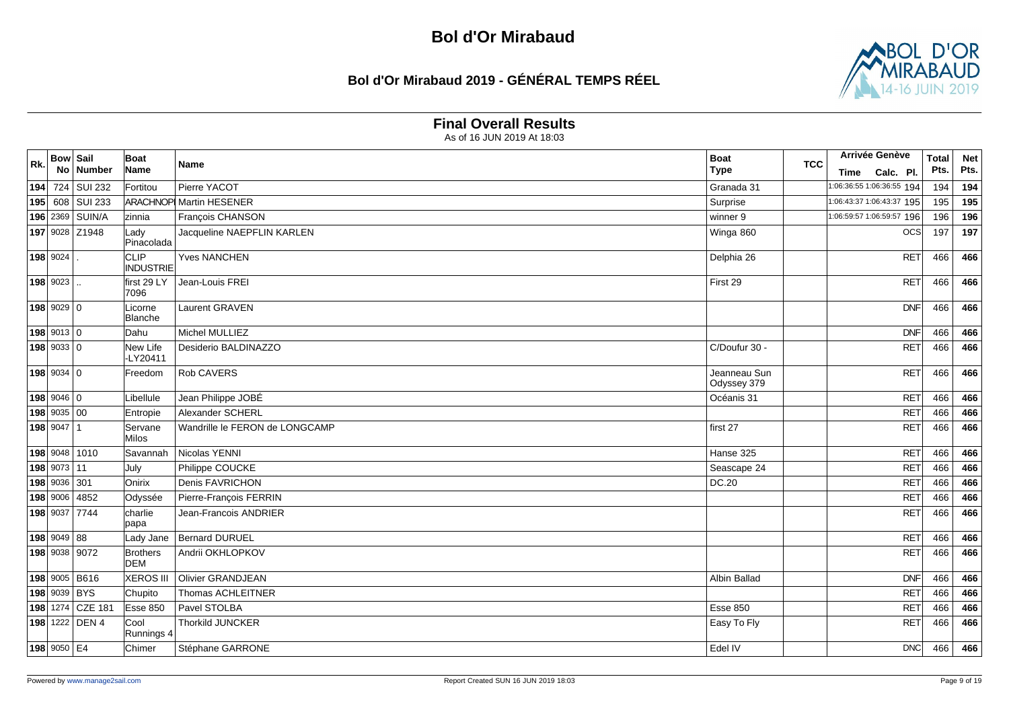## **Bol d'Or Mirabaud 2019 - GÉNÉRAL TEMPS RÉEL**



#### **Final Overall Results**

| Rk. | <b>Bow Sail</b><br>No. | Number           | <b>Boat</b><br>Name             | Name                           | <b>Boat</b><br><b>Type</b>  | <b>TCC</b> |      | <b>Arrivée Genève</b>                  | <b>Total</b><br>Pts. | <b>Net</b><br>Pts. |
|-----|------------------------|------------------|---------------------------------|--------------------------------|-----------------------------|------------|------|----------------------------------------|----------------------|--------------------|
|     |                        | 194 724 SUI 232  | Fortitou                        | Pierre YACOT                   | Granada 31                  |            | Time | Calc. Pl.<br>1:06:36:55 1:06:36:55 194 | 194                  | 194                |
|     |                        | 195 608 SUI 233  |                                 | <b>ARACHNOP Martin HESENER</b> | Surprise                    |            |      | 1:06:43:37 1:06:43:37 195              | 195                  | 195                |
|     |                        | 196 2369 SUIN/A  | zinnia                          | François CHANSON               | winner 9                    |            |      | 1:06:59:57 1:06:59:57 196              | 196                  | 196                |
|     |                        | 197 9028 Z1948   | Lady                            | Jacqueline NAEPFLIN KARLEN     | Winga 860                   |            |      | OCS                                    | 197                  | 197                |
|     |                        |                  | Pinacolada                      |                                |                             |            |      |                                        |                      |                    |
|     | 198 9024               |                  | <b>CLIP</b><br><b>INDUSTRIE</b> | <b>Yves NANCHEN</b>            | Delphia 26                  |            |      | <b>RET</b>                             | 466                  | 466                |
|     | 198 9023               |                  | first 29 LY<br>7096             | Jean-Louis FREI                | First 29                    |            |      | RET                                    | 466                  | 466                |
|     | 198 9029 0             |                  | Licorne<br>Blanche              | Laurent GRAVEN                 |                             |            |      | DNF                                    | 466                  | 466                |
|     | 198 9013 0             |                  | Dahu                            | Michel MULLIEZ                 |                             |            |      | DNF                                    | 466                  | 466                |
|     | $198$ 9033 0           |                  | New Life<br>-LY20411            | Desiderio BALDINAZZO           | C/Doufur 30 -               |            |      | <b>RET</b>                             | 466                  | 466                |
|     | $198$ 9034 0           |                  | Freedom                         | Rob CAVERS                     | Jeanneau Sun<br>Odyssey 379 |            |      | <b>RET</b>                             | 466                  | 466                |
|     | 198 9046 0             |                  | Libellule                       | Jean Philippe JOBÉ             | Océanis 31                  |            |      | <b>RET</b>                             | 466                  | 466                |
|     | 198 9035 00            |                  | Entropie                        | Alexander SCHERL               |                             |            |      | <b>RET</b>                             | 466                  | 466                |
|     | $198$ 9047 1           |                  | Servane<br>Milos                | Wandrille le FERON de LONGCAMP | first 27                    |            |      | <b>RET</b>                             | 466                  | 466                |
|     |                        | 198 9048 1010    | Savannah                        | Nicolas YENNI                  | Hanse 325                   |            |      | RET                                    | 466                  | 466                |
|     | 198 9073 11            |                  | July                            | Philippe COUCKE                | Seascape 24                 |            |      | <b>RET</b>                             | 466                  | 466                |
|     | 198 9036 301           |                  | Onirix                          | Denis FAVRICHON                | DC.20                       |            |      | <b>RET</b>                             | 466                  | 466                |
|     |                        | 198 9006 4852    | Odyssée                         | Pierre-François FERRIN         |                             |            |      | <b>RET</b>                             | 466                  | 466                |
|     |                        | 198 9037 7744    | charlie<br>papa                 | Jean-Francois ANDRIER          |                             |            |      | <b>RET</b>                             | 466                  | 466                |
|     | 198 9049 88            |                  | Lady Jane                       | Bernard DURUEL                 |                             |            |      | <b>RET</b>                             | 466                  | 466                |
|     |                        | 198 9038 9072    | <b>Brothers</b><br>DEM          | Andrii OKHLOPKOV               |                             |            |      | <b>RET</b>                             | 466                  | 466                |
|     |                        | 198 9005 B616    | XEROS III                       | <b>Olivier GRANDJEAN</b>       | Albin Ballad                |            |      | DNF                                    | 466                  | 466                |
|     | 198 9039 BYS           |                  | Chupito                         | Thomas ACHLEITNER              |                             |            |      | <b>RET</b>                             | 466                  | 466                |
|     |                        | 198 1274 CZE 181 | Esse 850                        | Pavel STOLBA                   | <b>Esse 850</b>             |            |      | <b>RET</b>                             | 466                  | 466                |
|     |                        | 198 1222 DEN 4   | Cool<br>Runnings 4              | Thorkild JUNCKER               | Easy To Fly                 |            |      | <b>RET</b>                             | 466                  | 466                |
|     | 198 9050 E4            |                  | Chimer                          | Stéphane GARRONE               | Edel IV                     |            |      | DNC                                    | 466                  | 466                |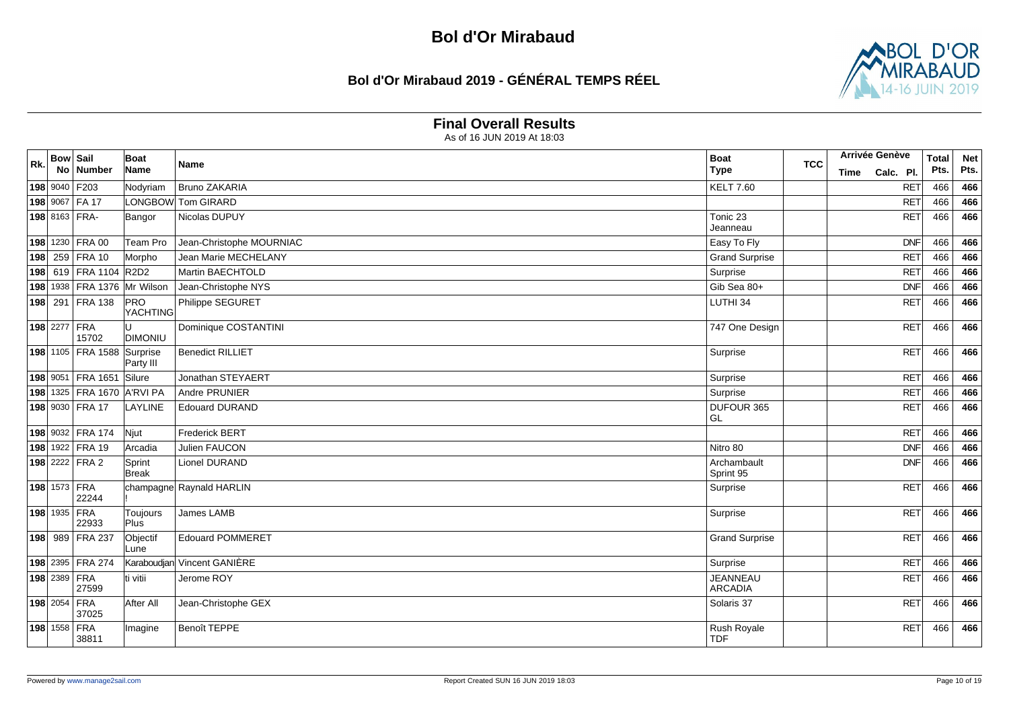# **Bol d'Or Mirabaud 2019 - GÉNÉRAL TEMPS RÉEL**



#### **Final Overall Results**

| Rk. | <b>Bow Sail</b> | No Number                     | Boat<br>Name           | Name                        | <b>Boat</b><br><b>Type</b>        | <b>TCC</b> | Time | Arrivée Genève<br>Calc. Pl. | <b>Total</b><br>Pts. | <b>Net</b><br>Pts. |
|-----|-----------------|-------------------------------|------------------------|-----------------------------|-----------------------------------|------------|------|-----------------------------|----------------------|--------------------|
|     |                 | 198 9040 F203                 | Nodyriam               | Bruno ZAKARIA               | <b>KELT 7.60</b>                  |            |      | <b>RET</b>                  | 466                  | 466                |
|     |                 | 198 9067 FA 17                |                        | LONGBOW Tom GIRARD          |                                   |            |      | <b>RET</b>                  | 466                  | 466                |
|     |                 | 198 8163 FRA-                 | Bangor                 | Nicolas DUPUY               | Tonic 23<br>Jeanneau              |            |      | <b>RET</b>                  | 466                  | 466                |
|     |                 | 198 1230 FRA 00               | Team Pro               | Jean-Christophe MOURNIAC    | Easy To Fly                       |            |      | <b>DNF</b>                  | 466                  | 466                |
| 198 |                 | 259 FRA 10                    | Morpho                 | <b>Jean Marie MECHELANY</b> | <b>Grand Surprise</b>             |            |      | <b>RET</b>                  | 466                  | 466                |
|     |                 | 198 619 FRA 1104 R2D2         |                        | Martin BAECHTOLD            | Surprise                          |            |      | <b>RET</b>                  | 466                  | 466                |
|     |                 | 198 1938   FRA 1376 Mr Wilson |                        | Jean-Christophe NYS         | Gib Sea 80+                       |            |      | DNF                         | 466                  | 466                |
|     |                 | 198 291 FRA 138               | PRO<br><b>YACHTING</b> | Philippe SEGURET            | LUTHI 34                          |            |      | <b>RET</b>                  | 466                  | 466                |
|     |                 | 198 2277 FRA<br>15702         | <b>DIMONIU</b>         | Dominique COSTANTINI        | 747 One Design                    |            |      | RET                         | 466                  | 466                |
|     |                 | 198 1105 FRA 1588             | Surprise<br>Party III  | <b>Benedict RILLIET</b>     | Surprise                          |            |      | <b>RET</b>                  | 466                  | 466                |
|     |                 | 198 9051 FRA 1651             | Silure                 | Jonathan STEYAERT           | Surprise                          |            |      | <b>RET</b>                  | 466                  | 466                |
|     |                 | 198 1325 FRA 1670 A'RVI PA    |                        | Andre PRUNIER               | Surprise                          |            |      | <b>RET</b>                  | 466                  | 466                |
|     |                 | 198 9030 FRA 17               | LAYLINE                | <b>Edouard DURAND</b>       | <b>DUFOUR 365</b><br>l GL         |            |      | <b>RET</b>                  | 466                  | 466                |
|     |                 | 198 9032 FRA 174              | Njut                   | <b>Frederick BERT</b>       |                                   |            |      | <b>RET</b>                  | 466                  | 466                |
|     |                 | 198 1922 FRA 19               | Arcadia                | Julien FAUCON               | Nitro 80                          |            |      | DNF                         | 466                  | 466                |
|     |                 | 198 2222 FRA 2                | Sprint<br><b>Break</b> | Lionel DURAND               | Archambault<br>Sprint 95          |            |      | DNF                         | 466                  | 466                |
|     |                 | 198 1573 FRA<br>22244         |                        | champagne Raynald HARLIN    | Surprise                          |            |      | RET                         | 466                  | 466                |
|     |                 | 198 1935 FRA<br>22933         | Toujours<br>Plus       | James LAMB                  | Surprise                          |            |      | <b>RET</b>                  | 466                  | 466                |
|     |                 | 198 989 FRA 237               | Objectif<br>Lune       | <b>Edouard POMMERET</b>     | <b>Grand Surprise</b>             |            |      | RET                         | 466                  | 466                |
|     |                 | 198 2395 FRA 274              |                        | Karaboudjan Vincent GANIÈRE | Surprise                          |            |      | <b>RET</b>                  | 466                  | 466                |
|     |                 | <b>198</b> 2389 FRA<br>27599  | ti vitii               | Jerome ROY                  | <b>JEANNEAU</b><br><b>ARCADIA</b> |            |      | <b>RET</b>                  | 466                  | 466                |
|     |                 | $198$ 2054 FRA<br>37025       | After All              | Jean-Christophe GEX         | Solaris 37                        |            |      | RET                         | 466                  | 466                |
|     | 198 1558 FRA    | 38811                         | Imagine                | Benoît TEPPE                | Rush Royale<br><b>TDF</b>         |            |      | RET                         | 466                  | 466                |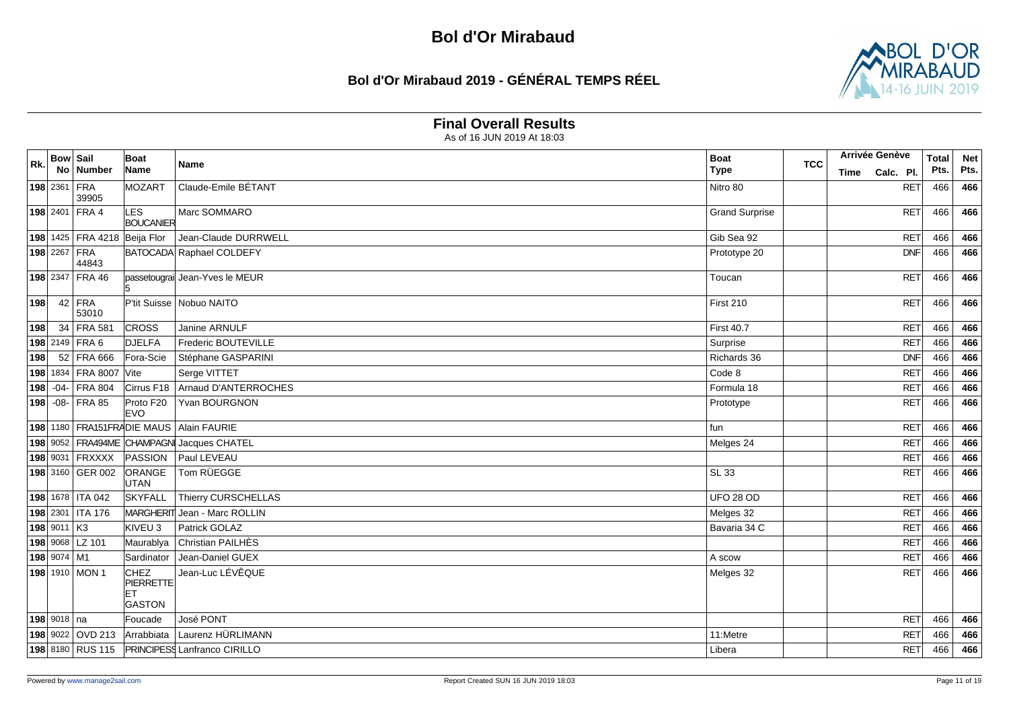# **Bol d'Or Mirabaud 2019 - GÉNÉRAL TEMPS RÉEL**



#### **Final Overall Results**

| Rk. | <b>Bow Sail</b> |                              | Boat                                              | Name                                          | <b>Boat</b>           | <b>TCC</b> |      | Arrivée Genève | <b>Total</b> | <b>Net</b> |
|-----|-----------------|------------------------------|---------------------------------------------------|-----------------------------------------------|-----------------------|------------|------|----------------|--------------|------------|
|     |                 | No Number                    | Name                                              |                                               | <b>Type</b>           |            | Time | Calc. Pl.      | Pts.         | Pts.       |
|     | 198 2361 FRA    | 39905                        | MOZART                                            | Claude-Emile BÉTANT                           | Nitro 80              |            |      | <b>RET</b>     | 466          | 466        |
|     |                 | 198 2401 FRA 4               | LES<br><b>BOUCANIER</b>                           | Marc SOMMARO                                  | <b>Grand Surprise</b> |            |      | RET            | 466          | 466        |
|     |                 | 198 1425 FRA 4218 Beija Flor |                                                   | Jean-Claude DURRWELL                          | Gib Sea 92            |            |      | RET            | 466          | 466        |
|     |                 | 198 2267 FRA<br>44843        |                                                   | BATOCADA Raphael COLDEFY                      | Prototype 20          |            |      | <b>DNF</b>     | 466          | 466        |
|     |                 | 198 2347 FRA 46              |                                                   | passetougrai Jean-Yves le MEUR                | Toucan                |            |      | <b>RET</b>     | 466          | 466        |
| 198 |                 | $42$ FRA<br>53010            |                                                   | P'tit Suisse Nobuo NAITO                      | First 210             |            |      | RET            | 466          | 466        |
| 198 |                 | 34 FRA 581                   | <b>CROSS</b>                                      | Janine ARNULF                                 | <b>First 40.7</b>     |            |      | <b>RET</b>     | 466          | 466        |
|     |                 | 198 2149 FRA 6               | <b>DJELFA</b>                                     | Frederic BOUTEVILLE                           | Surprise              |            |      | <b>RET</b>     | 466          | 466        |
| 198 |                 | 52 FRA 666                   | Fora-Scie                                         | Stéphane GASPARINI                            | Richards 36           |            |      | <b>DNF</b>     | 466          | 466        |
|     |                 | 198 1834 FRA 8007 Vite       |                                                   | Serge VITTET                                  | Code 8                |            |      | <b>RET</b>     | 466          | 466        |
|     |                 | 198 -04- FRA 804             |                                                   | Cirrus F18   Arnaud D'ANTERROCHES             | Formula 18            |            |      | <b>RET</b>     | 466          | 466        |
|     |                 | 198 - 08- FRA 85             | Proto F20<br><b>EVO</b>                           | Yvan BOURGNON                                 | Prototype             |            |      | <b>RET</b>     | 466          | 466        |
|     |                 |                              |                                                   | 198 1180 FRA151FRADIE MAUS Alain FAURIE       | fun                   |            |      | RET            | 466          | 466        |
|     |                 |                              |                                                   | 198 9052 FRA494ME CHAMPAGN Jacques CHATEL     | Melges 24             |            |      | <b>RET</b>     | 466          | 466        |
|     |                 | 198 9031 FRXXXX              | PASSION                                           | Paul LEVEAU                                   |                       |            |      | <b>RET</b>     | 466          | 466        |
|     |                 | 198 3160 GER 002             | ORANGE<br>UTAN                                    | Tom RÜEGGE                                    | <b>SL 33</b>          |            |      | <b>RET</b>     | 466          | 466        |
|     |                 | 198 1678   ITA 042           | SKYFALL                                           | Thierry CURSCHELLAS                           | <b>UFO 28 OD</b>      |            |      | <b>RET</b>     | 466          | 466        |
|     |                 | 198 2301 ITA 176             |                                                   | MARGHERIT Jean - Marc ROLLIN                  | Melges 32             |            |      | RET            | 466          | 466        |
|     | 198 9011 K3     |                              | KIVEU <sub>3</sub>                                | Patrick GOLAZ                                 | Bavaria 34 C          |            |      | <b>RET</b>     | 466          | 466        |
|     |                 | 198 9068 LZ 101              | Maurablya                                         | Christian PAILHÈS                             |                       |            |      | <b>RET</b>     | 466          | 466        |
|     | 198 9074 M1     |                              | Sardinator                                        | Jean-Daniel GUEX                              | A scow                |            |      | <b>RET</b>     | 466          | 466        |
|     |                 | 198 1910 MON 1               | <b>CHEZ</b><br>PIERRETTE<br>le T<br><b>GASTON</b> | Jean-Luc LÉVÊQUE                              | Melges 32             |            |      | <b>RET</b>     | 466          | 466        |
|     | 198 9018 na     |                              | Foucade                                           | José PONT                                     |                       |            |      | <b>RET</b>     | 466          | 466        |
|     |                 | 198 9022 OVD 213             | Arrabbiata                                        | Laurenz HÜRLIMANN                             | 11:Metre              |            |      | <b>RET</b>     | 466          | 466        |
|     |                 |                              |                                                   | 198 8180 RUS 115 PRINCIPESS Lanfranco CIRILLO | Libera                |            |      | <b>RET</b>     | 466          | 466        |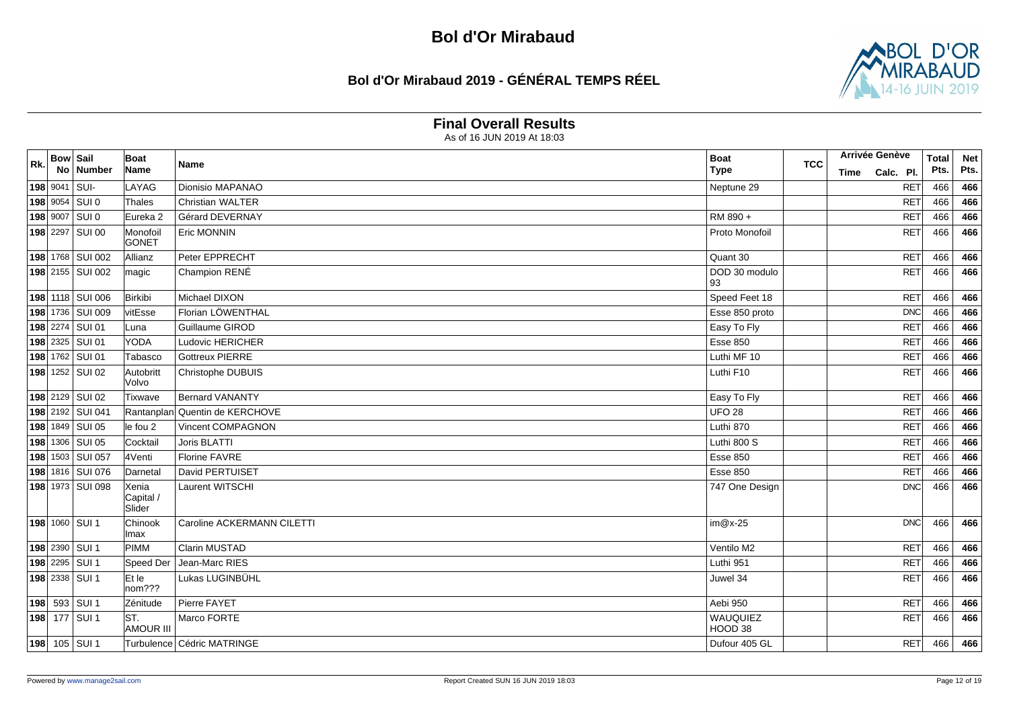### **Bol d'Or Mirabaud 2019 - GÉNÉRAL TEMPS RÉEL**



#### **Final Overall Results**

| Rk. | <b>Bow Sail</b> | No Number        | Boat<br>Name                 | Name                         | <b>Boat</b><br><b>Type</b> | <b>TCC</b> | Time | <b>Arrivée Genève</b><br>Calc. Pl. | <b>Total</b><br>Pts. | <b>Net</b><br>Pts. |
|-----|-----------------|------------------|------------------------------|------------------------------|----------------------------|------------|------|------------------------------------|----------------------|--------------------|
|     | 198 9041 SUI-   |                  | LAYAG                        | Dionisio MAPANAO             | Neptune 29                 |            |      | <b>RET</b>                         | 466                  | 466                |
|     |                 | 198 9054 SUI 0   | Thales                       | <b>Christian WALTER</b>      |                            |            |      | <b>RET</b>                         | 466                  | 466                |
|     |                 | 198 9007 SUI 0   | Eureka <sub>2</sub>          | Gérard DEVERNAY              | RM 890+                    |            |      | <b>RET</b>                         | 466                  | 466                |
|     |                 | 198 2297 SUI 00  | Monofoil<br>GONET            | Eric MONNIN                  | Proto Monofoil             |            |      | <b>RET</b>                         | 466                  | 466                |
|     |                 | 198 1768 SUI 002 | Allianz                      | Peter EPPRECHT               | Quant 30                   |            |      | <b>RET</b>                         | 466                  | 466                |
|     |                 | 198 2155 SUI 002 | magic                        | Champion RENÉ                | DOD 30 modulo<br>93        |            |      | <b>RET</b>                         | 466                  | 466                |
|     |                 | 198 1118 SUI 006 | Birkibi                      | Michael DIXON                | Speed Feet 18              |            |      | <b>RET</b>                         | 466                  | 466                |
|     |                 | 198 1736 SUI 009 | vitEsse                      | Florian LÖWENTHAL            | Esse 850 proto             |            |      | DNC                                | 466                  | 466                |
|     |                 | 198 2274 SUI 01  | Luna                         | Guillaume GIROD              | Easy To Fly                |            |      | <b>RET</b>                         | 466                  | 466                |
|     |                 | 198 2325 SUI 01  | <b>YODA</b>                  | Ludovic HERICHER             | <b>Esse 850</b>            |            |      | RET                                | 466                  | 466                |
|     |                 | 198 1762 SUI 01  | Tabasco                      | <b>Gottreux PIERRE</b>       | Luthi MF 10                |            |      | <b>RET</b>                         | 466                  | 466                |
|     |                 | 198 1252 SUI 02  | Autobritt<br>lVolvo          | Christophe DUBUIS            | Luthi F10                  |            |      | <b>RET</b>                         | 466                  | 466                |
|     |                 | 198 2129 SUI 02  | Tixwave                      | <b>Bernard VANANTY</b>       | Easy To Fly                |            |      | <b>RET</b>                         | 466                  | 466                |
|     |                 | 198 2192 SUI 041 | Rantanplan                   | Quentin de KERCHOVE          | <b>UFO 28</b>              |            |      | <b>RET</b>                         | 466                  | 466                |
|     |                 | 198 1849 SUI 05  | le fou 2                     | Vincent COMPAGNON            | Luthi 870                  |            |      | <b>RET</b>                         | 466                  | 466                |
|     |                 | 198 1306 SUI 05  | Cocktail                     | Joris BLATTI                 | Luthi 800 S                |            |      | <b>RET</b>                         | 466                  | 466                |
|     |                 | 198 1503 SUI 057 | 4Venti                       | <b>Florine FAVRE</b>         | <b>Esse 850</b>            |            |      | <b>RET</b>                         | 466                  | 466                |
|     |                 | 198 1816 SUI 076 | Darnetal                     | David PERTUISET              | <b>Esse 850</b>            |            |      | <b>RET</b>                         | 466                  | 466                |
|     |                 | 198 1973 SUI 098 | Xenia<br>Capital /<br>Slider | Laurent WITSCHI              | 747 One Design             |            |      | <b>DNC</b>                         | 466                  | 466                |
|     |                 | 198 1060 SUI 1   | Chinook<br>Imax              | Caroline ACKERMANN CILETTI   | $im@x-25$                  |            |      | DNC                                | 466                  | 466                |
|     |                 | 198 2390 SUI 1   | <b>PIMM</b>                  | Clarin MUSTAD                | Ventilo M2                 |            |      | RET                                | 466                  | 466                |
|     |                 | 198 2295 SUI 1   | Speed Der                    | Jean-Marc RIES               | Luthi 951                  |            |      | <b>RET</b>                         | 466                  | 466                |
|     |                 | 198 2338 SUI 1   | Et le<br>nom???              | Lukas LUGINBÜHL              | Juwel 34                   |            |      | <b>RET</b>                         | 466                  | 466                |
|     |                 | 198 593 SUI 1    | Zénitude                     | Pierre FAYET                 | Aebi 950                   |            |      | RET                                | 466                  | 466                |
|     |                 | 198 177 SUI 1    | ST.<br><b>AMOUR III</b>      | Marco FORTE                  | WAUQUIEZ<br>HOOD 38        |            |      | <b>RET</b>                         | 466                  | 466                |
|     |                 | 198 105 SUI 1    |                              | Turbulence   Cédric MATRINGE | Dufour 405 GL              |            |      | <b>RET</b>                         | 466                  | 466                |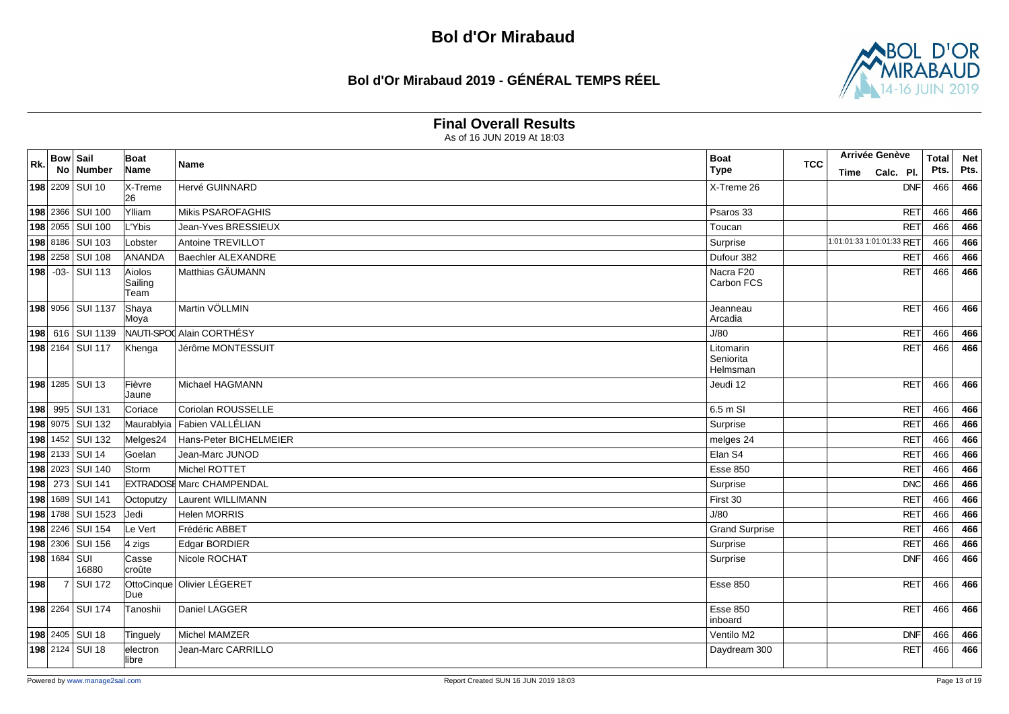## **Bol d'Or Mirabaud 2019 - GÉNÉRAL TEMPS RÉEL**



#### **Final Overall Results**

| Rk. | <b>Bow Sail</b>     |                    | <b>Boat</b>               | Name                             | <b>Boat</b>                        | <b>TCC</b> |      | <b>Arrivée Genève</b>     | <b>Total</b> | <b>Net</b> |
|-----|---------------------|--------------------|---------------------------|----------------------------------|------------------------------------|------------|------|---------------------------|--------------|------------|
|     |                     | No Number          | Name                      |                                  | <b>Type</b>                        |            | Time | Calc. Pl.                 | Pts.         | Pts.       |
|     |                     | 198 2209 SUI 10    | X-Treme<br>26             | Hervé GUINNARD                   | X-Treme 26                         |            |      | <b>DNF</b>                | 466          | 466        |
|     |                     | 198 2366 SUI 100   | Ylliam                    | <b>Mikis PSAROFAGHIS</b>         | Psaros 33                          |            |      | <b>RET</b>                | 466          | 466        |
|     |                     | 198 2055 SUI 100   | L'Ybis                    | Jean-Yves BRESSIEUX              | Toucan                             |            |      | <b>RET</b>                | 466          | 466        |
|     |                     | 198 8186 SUI 103   | Lobster                   | Antoine TREVILLOT                | Surprise                           |            |      | 1:01:01:33 1:01:01:33 RET | 466          | 466        |
|     |                     | 198 2258 SUI 108   | ANANDA                    | <b>Baechler ALEXANDRE</b>        | Dufour 382                         |            |      | <b>RET</b>                | 466          | 466        |
|     |                     | 198 - 03 - SUI 113 | Aiolos<br>Sailing<br>Team | Matthias GÄUMANN                 | Nacra F20<br>Carbon FCS            |            |      | <b>RET</b>                | 466          | 466        |
|     |                     | 198 9056 SUI 1137  | Shaya<br>Moya             | Martin VÖLLMIN                   | Jeanneau<br>Arcadia                |            |      | RET                       | 466          | 466        |
|     |                     | 198 616 SUI 1139   |                           | NAUTI-SPO Alain CORTHÉSY         | J/80                               |            |      | <b>RET</b>                | 466          | 466        |
|     |                     | 198 2164 SUI 117   | Khenga                    | Jérôme MONTESSUIT                | Litomarin<br>Seniorita<br>Helmsman |            |      | <b>RET</b>                | 466          | 466        |
|     |                     | 198 1285 SUI 13    | Fièvre<br>Jaune           | Michael HAGMANN                  | Jeudi 12                           |            |      | RET                       | 466          | 466        |
|     |                     | 198 995 SUI 131    | Coriace                   | Coriolan ROUSSELLE               | 6.5 m SI                           |            |      | RET                       | 466          | 466        |
|     |                     | 198 9075 SUI 132   | Maurablyia                | Fabien VALLÉLIAN                 | Surprise                           |            |      | <b>RET</b>                | 466          | 466        |
|     |                     | 198 1452 SUI 132   | Melges24                  | Hans-Peter BICHELMEIER           | melges 24                          |            |      | <b>RET</b>                | 466          | 466        |
|     |                     | 198 2133 SUI 14    | Goelan                    | Jean-Marc JUNOD                  | Elan S4                            |            |      | <b>RET</b>                | 466          | 466        |
|     |                     | 198 2023 SUI 140   | Storm                     | Michel ROTTET                    | <b>Esse 850</b>                    |            |      | <b>RET</b>                | 466          | 466        |
|     |                     | 198 273 SUI 141    |                           | <b>EXTRADOSE Marc CHAMPENDAL</b> | Surprise                           |            |      | <b>DNC</b>                | 466          | 466        |
|     |                     | 198 1689 SUI 141   | Octoputzy                 | <b>Laurent WILLIMANN</b>         | First 30                           |            |      | <b>RET</b>                | 466          | 466        |
|     |                     | 198 1788 SUI 1523  | Jedi                      | <b>Helen MORRIS</b>              | J/80                               |            |      | <b>RET</b>                | 466          | 466        |
|     |                     | 198 2246 SUI 154   | Le Vert                   | Frédéric ABBET                   | <b>Grand Surprise</b>              |            |      | <b>RET</b>                | 466          | 466        |
|     |                     | 198 2306 SUI 156   | 4 zigs                    | Edgar BORDIER                    | Surprise                           |            |      | <b>RET</b>                | 466          | 466        |
|     | <b>198</b> 1684 SUI | 16880              | Casse<br>croûte           | Nicole ROCHAT                    | Surprise                           |            |      | DNF                       | 466          | 466        |
| 198 |                     | 7 SUI 172          | Due                       | OttoCinque Olivier LÉGERET       | Esse 850                           |            |      | RET                       | 466          | 466        |
|     |                     | 198 2264 SUI 174   | Tanoshii                  | Daniel LAGGER                    | <b>Esse 850</b><br>inboard         |            |      | <b>RET</b>                | 466          | 466        |
|     |                     | 198 2405 SUI 18    | Tinguely                  | Michel MAMZER                    | Ventilo M2                         |            |      | <b>DNF</b>                | 466          | 466        |
|     |                     | 198 2124 SUI 18    | electron<br>llibre        | Jean-Marc CARRILLO               | Daydream 300                       |            |      | <b>RET</b>                | 466          | 466        |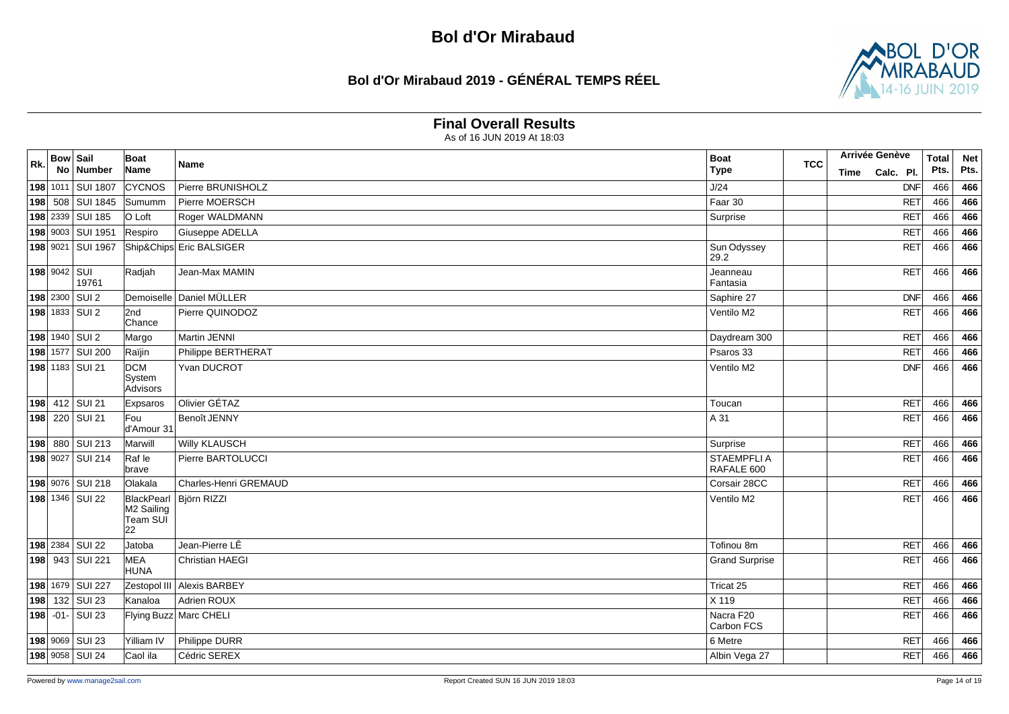## **Bol d'Or Mirabaud 2019 - GÉNÉRAL TEMPS RÉEL**



#### **Final Overall Results**

| Rk. | <b>Bow Sail</b> | No Number         | Boat<br>Name                               | Name                     | <b>Boat</b><br><b>Type</b> | <b>TCC</b> | Time | Arrivée Genève<br>Calc. Pl. | <b>Total</b><br>Pts. | <b>Net</b><br>Pts. |
|-----|-----------------|-------------------|--------------------------------------------|--------------------------|----------------------------|------------|------|-----------------------------|----------------------|--------------------|
|     |                 | 198 1011 SUI 1807 | <b>CYCNOS</b>                              | Pierre BRUNISHOLZ        | J/24                       |            |      | <b>DNF</b>                  | 466                  | 466                |
|     |                 | 198 508 SUI 1845  | Sumumm                                     | Pierre MOERSCH           | Faar 30                    |            |      | <b>RET</b>                  | 466                  | 466                |
|     |                 | 198 2339 SUI 185  | O Loft                                     | Roger WALDMANN           | Surprise                   |            |      | <b>RET</b>                  | 466                  | 466                |
|     |                 | 198 9003 SUI 1951 | Respiro                                    | Giuseppe ADELLA          |                            |            |      | <b>RET</b>                  | 466                  | 466                |
|     |                 | 198 9021 SUI 1967 |                                            | Ship&Chips Eric BALSIGER | Sun Odyssey<br>29.2        |            |      | <b>RET</b>                  | 466                  | 466                |
|     | 198 9042 SUI    | 19761             | Radjah                                     | Jean-Max MAMIN           | Jeanneau<br>Fantasia       |            |      | <b>RET</b>                  | 466                  | 466                |
|     |                 | 198 2300 SUI 2    |                                            | Demoiselle Daniel MÜLLER | Saphire 27                 |            |      | DNF                         | 466                  | 466                |
|     |                 | 198 1833 SUI 2    | 2nd<br>Chance                              | Pierre QUINODOZ          | Ventilo M2                 |            |      | RET                         | 466                  | 466                |
|     |                 | 198 1940 SUI 2    | Margo                                      | Martin JENNI             | Daydream 300               |            |      | <b>RET</b>                  | 466                  | 466                |
|     |                 | 198 1577 SUI 200  | Raïjin                                     | Philippe BERTHERAT       | Psaros 33                  |            |      | <b>RET</b>                  | 466                  | 466                |
|     |                 | 198 1183 SUI 21   | <b>DCM</b><br>System<br>Advisors           | Yvan DUCROT              | Ventilo M2                 |            |      | <b>DNF</b>                  | 466                  | 466                |
|     |                 | 198 412 SUI 21    | Expsaros                                   | Olivier GÉTAZ            | Toucan                     |            |      | RET                         | 466                  | 466                |
|     |                 | 198 220 SUI 21    | Fou<br>d'Amour 31                          | Benoît JENNY             | A 31                       |            |      | <b>RET</b>                  | 466                  | 466                |
|     |                 | 198 880 SUI 213   | Marwill                                    | Willy KLAUSCH            | Surprise                   |            |      | RET                         | 466                  | 466                |
|     |                 | 198 9027 SUI 214  | Raf le<br>brave                            | Pierre BARTOLUCCI        | STAEMPFLI A<br>RAFALE 600  |            |      | RET                         | 466                  | 466                |
|     |                 | 198 9076 SUI 218  | Olakala                                    | Charles-Henri GREMAUD    | Corsair 28CC               |            |      | <b>RET</b>                  | 466                  | 466                |
|     |                 | 198 1346 SUI 22   | BlackPearl<br>M2 Sailing<br>Team SUĪ<br>22 | Björn RIZZI              | Ventilo M2                 |            |      | <b>RET</b>                  | 466                  | 466                |
|     |                 | 198 2384 SUI 22   | Jatoba                                     | Jean-Pierre LÊ           | Tofinou 8m                 |            |      | RET                         | 466                  | 466                |
|     |                 | 198 943 SUI 221   | <b>MEA</b><br><b>HUNA</b>                  | <b>Christian HAEGI</b>   | <b>Grand Surprise</b>      |            |      | <b>RET</b>                  | 466                  | 466                |
|     |                 | 198 1679 SUI 227  | Zestopol III                               | Alexis BARBEY            | Tricat 25                  |            |      | <b>RET</b>                  | 466                  | 466                |
|     |                 | 198 132 SUI 23    | İKanaloa                                   | Adrien ROUX              | X 119                      |            |      | <b>RET</b>                  | 466                  | 466                |
|     |                 | 198 - 01 - SUI 23 |                                            | Flying Buzz Marc CHELI   | Nacra F20<br>Carbon FCS    |            |      | <b>RET</b>                  | 466                  | 466                |
|     |                 | 198 9069 SUI 23   | Yilliam IV                                 | Philippe DURR            | 6 Metre                    |            |      | <b>RET</b>                  | 466                  | 466                |
|     |                 | 198 9058 SUI 24   | Caol ila                                   | Cédric SEREX             | Albin Vega 27              |            |      | <b>RET</b>                  | 466                  | 466                |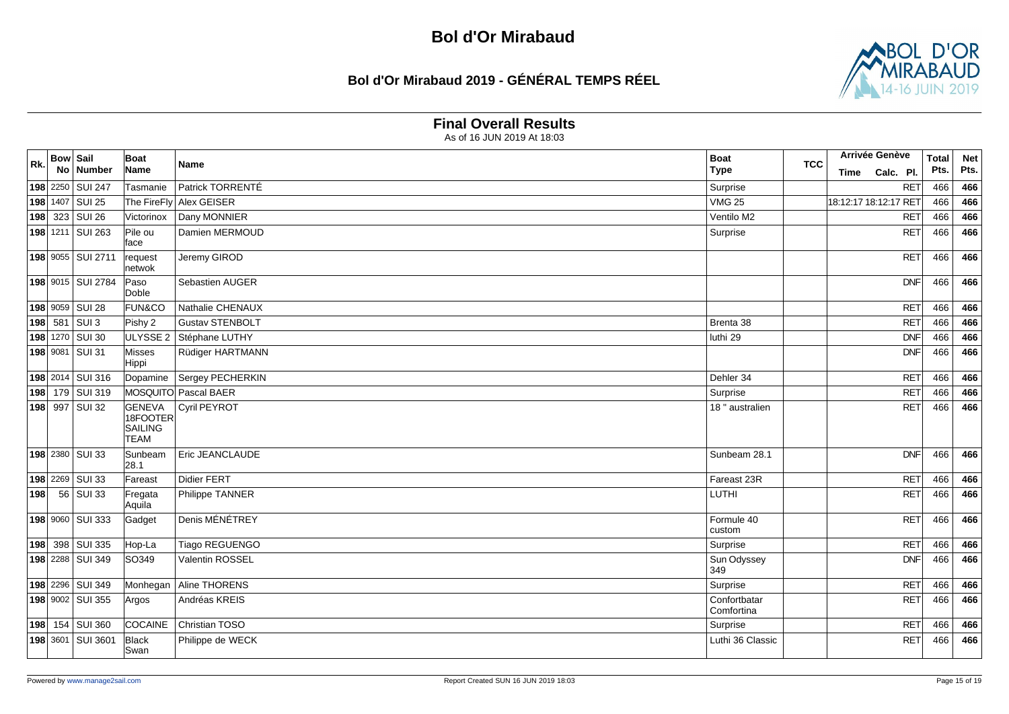## **Bol d'Or Mirabaud 2019 - GÉNÉRAL TEMPS RÉEL**



#### **Final Overall Results**

| Rk. | <b>Bow Sail</b> | No Number               | Boat<br>Name                                        | Name                    | <b>Boat</b><br><b>Type</b> | <b>TCC</b> | Time | Arrivée Genève<br>Calc. Pl. | <b>Total</b><br>Pts. | <b>Net</b><br>Pts. |
|-----|-----------------|-------------------------|-----------------------------------------------------|-------------------------|----------------------------|------------|------|-----------------------------|----------------------|--------------------|
|     |                 | 198 2250 SUI 247        | Tasmanie                                            | Patrick TORRENTÉ        | Surprise                   |            |      | RET                         | 466                  | 466                |
|     |                 | 198 1407 SUI 25         |                                                     | The FireFly Alex GEISER | <b>VMG 25</b>              |            |      | 18:12:17 18:12:17 RET       | 466                  | 466                |
|     |                 | 198 323 SUI 26          | Victorinox                                          | Dany MONNIER            | Ventilo M2                 |            |      | <b>RET</b>                  | 466                  | 466                |
|     |                 | 198 1211 SUI 263        | Pile ou<br>face                                     | Damien MERMOUD          | Surprise                   |            |      | <b>RET</b>                  | 466                  | 466                |
|     |                 | 198 9055 SUI 2711       | request<br>netwok                                   | Jeremy GIROD            |                            |            |      | RET                         | 466                  | 466                |
|     |                 | 198 9015 SUI 2784       | Paso<br>Doble                                       | Sebastien AUGER         |                            |            |      | DNF                         | 466                  | 466                |
|     |                 | 198 9059 SUI 28         | <b>FUN&amp;CO</b>                                   | Nathalie CHENAUX        |                            |            |      | <b>RET</b>                  | 466                  | 466                |
|     |                 | 198 581 SUI 3           | Pishy 2                                             | <b>Gustav STENBOLT</b>  | Brenta 38                  |            |      | <b>RET</b>                  | 466                  | 466                |
|     |                 | 198 1270 SUI 30         | ULYSSE <sub>2</sub>                                 | Stéphane LUTHY          | luthi 29                   |            |      | DNF                         | 466                  | 466                |
|     |                 | 198 9081 SUI 31         | Misses<br>Hippi                                     | Rüdiger HARTMANN        |                            |            |      | DNF                         | 466                  | 466                |
|     |                 | 198 2014 SUI 316        | Dopamine                                            | Sergey PECHERKIN        | Dehler 34                  |            |      | <b>RET</b>                  | 466                  | 466                |
|     |                 | 198 179 SUI 319         |                                                     | MOSQUITO Pascal BAER    | Surprise                   |            |      | <b>RET</b>                  | 466                  | 466                |
|     |                 | 198 997 SUI 32          | <b>GENEVA</b><br>18FOOTER<br>SAILING<br><b>TEAM</b> | Cyril PEYROT            | 18 " australien            |            |      | <b>RET</b>                  | 466                  | 466                |
|     |                 | 198 2380 SUI 33         | Sunbeam<br>28.1                                     | Eric JEANCLAUDE         | Sunbeam 28.1               |            |      | DNF                         | 466                  | 466                |
|     |                 | 198 2269 SUI 33         | Fareast                                             | Didier FERT             | Fareast 23R                |            |      | <b>RET</b>                  | 466                  | 466                |
|     |                 | <b>198</b> 56 SUI 33    | Fregata<br>Aquila                                   | Philippe TANNER         | LUTHI                      |            |      | RET                         | 466                  | 466                |
|     |                 | 198 9060 SUI 333        | Gadget                                              | Denis MÉNÉTREY          | Formule 40<br>custom       |            |      | RET                         | 466                  | 466                |
|     |                 | 198 398 SUI 335         | Hop-La                                              | Tiago REGUENGO          | Surprise                   |            |      | <b>RET</b>                  | 466                  | 466                |
|     |                 | <b>198</b> 2288 SUI 349 | SO349                                               | Valentin ROSSEL         | Sun Odyssey<br>349         |            |      | DNF                         | 466                  | 466                |
|     |                 | 198 2296 SUI 349        | Monhegan                                            | Aline THORENS           | Surprise                   |            |      | RET                         | 466                  | 466                |
|     |                 | 198 9002 SUI 355        | Argos                                               | Andréas KREIS           | Confortbatar<br>Comfortina |            |      | <b>RET</b>                  | 466                  | 466                |
|     |                 | 198 154 SUI 360         | COCAINE                                             | <b>Christian TOSO</b>   | Surprise                   |            |      | <b>RET</b>                  | 466                  | 466                |
|     |                 | 198 3601 SUI 3601       | Black<br><b>Swan</b>                                | Philippe de WECK        | Luthi 36 Classic           |            |      | <b>RET</b>                  | 466                  | 466                |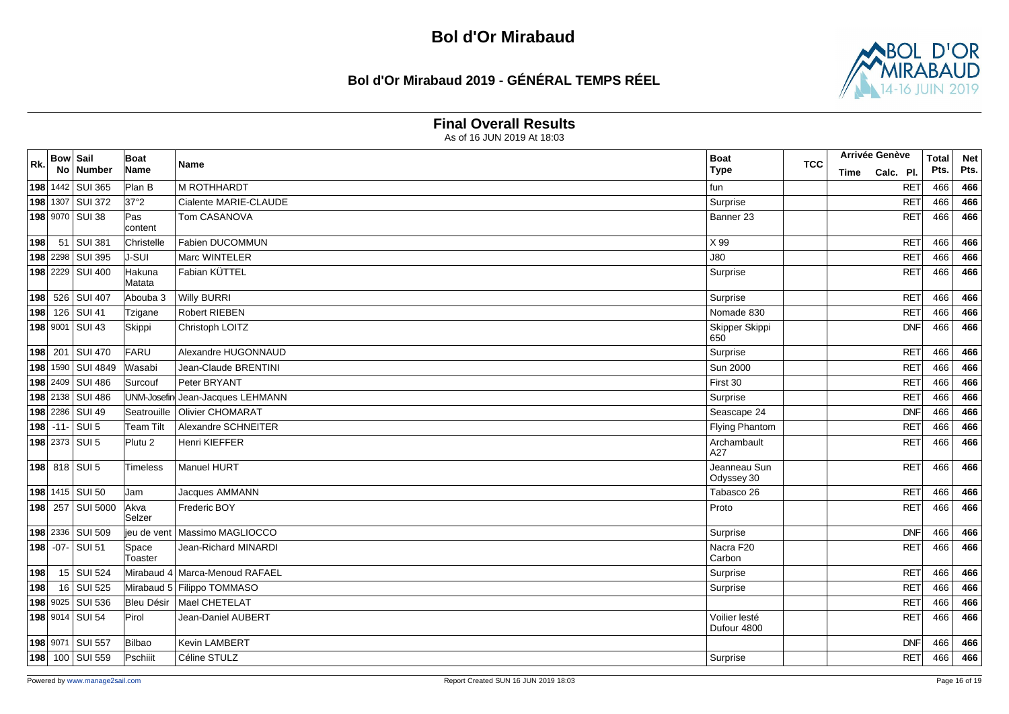## **Bol d'Or Mirabaud 2019 - GÉNÉRAL TEMPS RÉEL**



#### **Final Overall Results**

| R <sub>k</sub> | <b>Bow Sail</b> | No Number         | Boat<br>Name            | Name                             | <b>Boat</b>                  | <b>TCC</b> |      | Arrivée Genève | <b>Total</b> | <b>Net</b> |
|----------------|-----------------|-------------------|-------------------------|----------------------------------|------------------------------|------------|------|----------------|--------------|------------|
|                |                 |                   |                         |                                  | <b>Type</b>                  |            | Time | Calc. Pl.      | Pts.         | Pts.       |
|                |                 | 198 1442 SUI 365  | Plan B                  | M ROTHHARDT                      | fun                          |            |      | <b>RET</b>     | 466          | 466        |
|                |                 | 198 1307 SUI 372  | 37°2                    | Cialente MARIE-CLAUDE            | Surprise                     |            |      | <b>RET</b>     | 466          | 466        |
|                |                 | 198 9070 SUI 38   | Pas<br>content          | Tom CASANOVA                     | Banner 23                    |            |      | <b>RET</b>     | 466          | 466        |
| 198            |                 | 51 SUI 381        | Christelle              | Fabien DUCOMMUN                  | X 99                         |            |      | <b>RET</b>     | 466          | 466        |
|                |                 | 198 2298 SUI 395  | <b>J-SUI</b>            | Marc WINTELER                    | <b>J80</b>                   |            |      | <b>RET</b>     | 466          | 466        |
|                |                 | 198 2229 SUI 400  | Hakuna<br>Matata        | Fabian KÜTTEL                    | Surprise                     |            |      | <b>RET</b>     | 466          | 466        |
|                |                 | 198 526 SUI 407   | Abouba 3                | <b>Willy BURRI</b>               | Surprise                     |            |      | <b>RET</b>     | 466          | 466        |
|                |                 | 198 126 SUI 41    | Tzigane                 | <b>Robert RIEBEN</b>             | Nomade 830                   |            |      | <b>RET</b>     | 466          | 466        |
|                |                 | 198 9001 SUI 43   | Skippi                  | Christoph LOITZ                  | Skipper Skippi<br>650        |            |      | DNF            | 466          | 466        |
|                |                 | 198 201 SUI 470   | FARU                    | Alexandre HUGONNAUD              | Surprise                     |            |      | <b>RET</b>     | 466          | 466        |
|                |                 | 198 1590 SUI 4849 | Wasabi                  | Jean-Claude BRENTINI             | <b>Sun 2000</b>              |            |      | <b>RET</b>     | 466          | 466        |
|                |                 | 198 2409 SUI 486  | Surcouf                 | Peter BRYANT                     | First 30                     |            |      | <b>RET</b>     | 466          | 466        |
|                |                 | 198 2138 SUI 486  |                         | UNM-Josefin Jean-Jacques LEHMANN | Surprise                     |            |      | <b>RET</b>     | 466          | 466        |
|                |                 | 198 2286 SUI 49   | Seatrouille             | Olivier CHOMARAT                 | Seascape 24                  |            |      | <b>DNF</b>     | 466          | 466        |
|                |                 | 198 - 11 - SUI 5  | <b>Team Tilt</b>        | Alexandre SCHNEITER              | <b>Flying Phantom</b>        |            |      | <b>RET</b>     | 466          | 466        |
|                |                 | 198 2373 SUI 5    | Plutu <sub>2</sub>      | <b>Henri KIEFFER</b>             | Archambault<br>A27           |            |      | <b>RET</b>     | 466          | 466        |
|                |                 | 198 818 SUI 5     | Timeless                | Manuel HURT                      | Jeanneau Sun<br>Odyssey 30   |            |      | RET            | 466          | 466        |
|                |                 | 198 1415 SUI 50   | Jam                     | Jacques AMMANN                   | Tabasco 26                   |            |      | <b>RET</b>     | 466          | 466        |
|                |                 | 198 257 SUI 5000  | Akva<br>Selzer          | Frederic BOY                     | Proto                        |            |      | <b>RET</b>     | 466          | 466        |
|                |                 | 198 2336 SUI 509  | lieu de vent            | Massimo MAGLIOCCO                | Surprise                     |            |      | DNF            | 466          | 466        |
|                |                 | 198 - 07 - SUI 51 | Space<br><b>Toaster</b> | Jean-Richard MINARDI             | Nacra F20<br>Carbon          |            |      | <b>RET</b>     | 466          | 466        |
| 198            |                 | 15 SUI 524        |                         | Mirabaud 4 Marca-Menoud RAFAEL   | Surprise                     |            |      | <b>RET</b>     | 466          | 466        |
| 198            |                 | 16 SUI 525        |                         | Mirabaud 5 Filippo TOMMASO       | Surprise                     |            |      | <b>RET</b>     | 466          | 466        |
|                |                 | 198 9025 SUI 536  | Bleu Désir              | Mael CHETELAT                    |                              |            |      | <b>RET</b>     | 466          | 466        |
|                |                 | 198 9014 SUI 54   | Pirol                   | Jean-Daniel AUBERT               | Voilier lesté<br>Dufour 4800 |            |      | <b>RET</b>     | 466          | 466        |
|                |                 | 198 9071 SUI 557  | Bilbao                  | Kevin LAMBERT                    |                              |            |      | <b>DNF</b>     | 466          | 466        |
|                |                 | 198 100 SUI 559   | Pschiiit                | Céline STULZ                     | Surprise                     |            |      | <b>RET</b>     | 466          | 466        |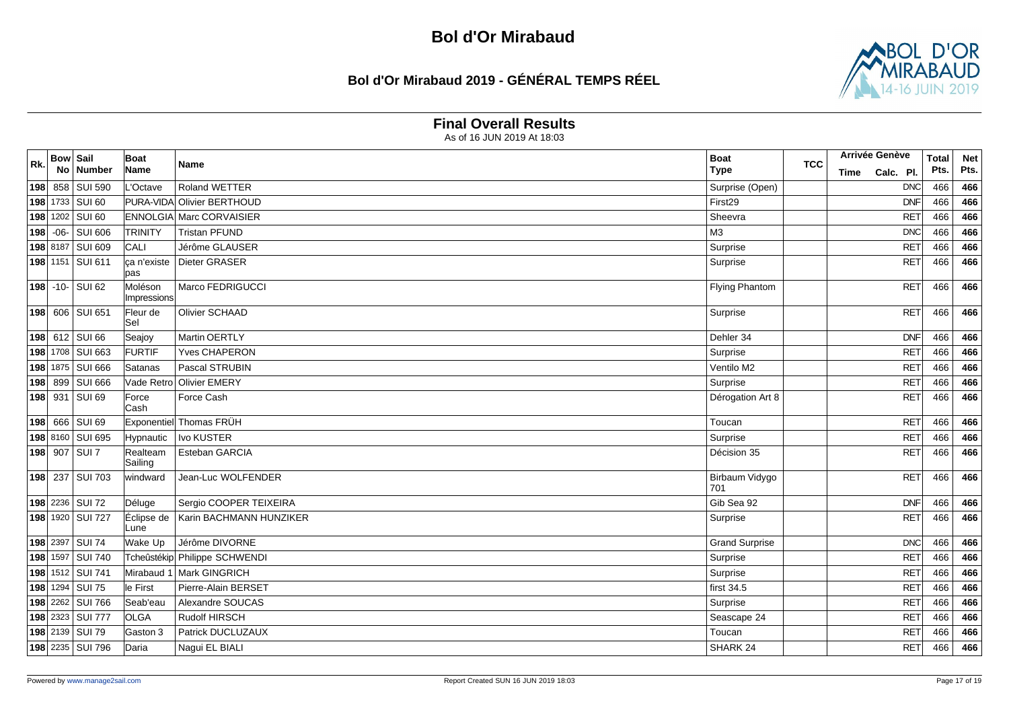# **Bol d'Or Mirabaud 2019 - GÉNÉRAL TEMPS RÉEL**



#### **Final Overall Results**

| R <sub>k</sub> | <b>Bow Sail</b> | No Number        | <b>Boat</b><br>Name    | Name                            | <b>Boat</b><br><b>Type</b> | <b>TCC</b> | Time | <b>Arrivée Genève</b><br>Calc. Pl. | <b>Total</b><br>Pts. | <b>Net</b><br>Pts. |
|----------------|-----------------|------------------|------------------------|---------------------------------|----------------------------|------------|------|------------------------------------|----------------------|--------------------|
|                |                 | 198 858 SUI 590  | L'Octave               | Roland WETTER                   | Surprise (Open)            |            |      | DNC                                | 466                  | 466                |
|                |                 | 198 1733 SUI 60  |                        | PURA-VIDA Olivier BERTHOUD      | First29                    |            |      | <b>DNF</b>                         | 466                  | 466                |
|                |                 | 198 1202 SUI 60  |                        | <b>ENNOLGIA Marc CORVAISIER</b> | Sheevra                    |            |      | <b>RET</b>                         | 466                  | 466                |
|                |                 | 198 -06- SUI 606 | <b>TRINITY</b>         | <b>Tristan PFUND</b>            | M <sub>3</sub>             |            |      | <b>DNC</b>                         | 466                  | 466                |
|                |                 | 198 8187 SUI 609 | CALI                   | Jérôme GLAUSER                  | Surprise                   |            |      | <b>RET</b>                         | 466                  | 466                |
|                |                 | 198 1151 SUI 611 | pas                    | ca n'existe Dieter GRASER       | Surprise                   |            |      | RET                                | 466                  | 466                |
|                |                 | 198 -10- SUI 62  | Moléson<br>Impressions | Marco FEDRIGUCCI                | <b>Flying Phantom</b>      |            |      | <b>RET</b>                         | 466                  | 466                |
|                |                 | 198 606 SUI 651  | Fleur de<br>lSel       | Olivier SCHAAD                  | Surprise                   |            |      | <b>RET</b>                         | 466                  | 466                |
|                |                 | 198 612 SUI 66   | Seajoy                 | Martin OERTLY                   | Dehler 34                  |            |      | DNF                                | 466                  | 466                |
|                |                 | 198 1708 SUI 663 | FURTIF                 | Yves CHAPERON                   | Surprise                   |            |      | <b>RET</b>                         | 466                  | 466                |
|                |                 | 198 1875 SUI 666 | Satanas                | Pascal STRUBIN                  | Ventilo M2                 |            |      | <b>RET</b>                         | 466                  | 466                |
|                |                 | 198 899 SUI 666  | Vade Retro             | <b>Olivier EMERY</b>            | Surprise                   |            |      | <b>RET</b>                         | 466                  | 466                |
|                |                 | 198 931 SUI 69   | Force<br>lCash         | Force Cash                      | Dérogation Art 8           |            |      | <b>RET</b>                         | 466                  | 466                |
|                |                 | 198 666 SUI 69   |                        | Exponentiel Thomas FRÜH         | Toucan                     |            |      | RET                                | 466                  | 466                |
|                |                 | 198 8160 SUI 695 | Hypnautic              | <b>Ivo KUSTER</b>               | Surprise                   |            |      | <b>RET</b>                         | 466                  | 466                |
|                |                 | 198 907 SUI 7    | Realteam<br>Sailing    | Esteban GARCIA                  | Décision 35                |            |      | <b>RET</b>                         | 466                  | 466                |
|                |                 | 198 237 SUI 703  | windward               | Jean-Luc WOLFENDER              | Birbaum Vidygo<br>701      |            |      | <b>RET</b>                         | 466                  | 466                |
|                |                 | 198 2236 SUI 72  | Déluge                 | Sergio COOPER TEIXEIRA          | Gib Sea 92                 |            |      | DNF                                | 466                  | 466                |
|                |                 | 198 1920 SUI 727 | Éclipse de<br>Lune     | Karin BACHMANN HUNZIKER         | Surprise                   |            |      | <b>RET</b>                         | 466                  | 466                |
|                |                 | 198 2397 SUI 74  | Wake Up                | Jérôme DIVORNE                  | <b>Grand Surprise</b>      |            |      | DNC                                | 466                  | 466                |
|                |                 | 198 1597 SUI 740 |                        | Tcheûstékip Philippe SCHWENDI   | Surprise                   |            |      | <b>RET</b>                         | 466                  | 466                |
|                |                 | 198 1512 SUI 741 | Mirabaud 1             | Mark GINGRICH                   | Surprise                   |            |      | <b>RET</b>                         | 466                  | 466                |
|                |                 | 198 1294 SUI 75  | le First               | Pierre-Alain BERSET             | first 34.5                 |            |      | <b>RET</b>                         | 466                  | 466                |
|                |                 | 198 2262 SUI 766 | Seab'eau               | Alexandre SOUCAS                | Surprise                   |            |      | <b>RET</b>                         | 466                  | 466                |
|                |                 | 198 2323 SUI 777 | <b>OLGA</b>            | Rudolf HIRSCH                   | Seascape 24                |            |      | <b>RET</b>                         | 466                  | 466                |
|                |                 | 198 2139 SUI 79  | Gaston 3               | Patrick DUCLUZAUX               | Toucan                     |            |      | <b>RET</b>                         | 466                  | 466                |
|                |                 | 198 2235 SUI 796 | Daria                  | Nagui EL BIALI                  | SHARK 24                   |            |      | <b>RET</b>                         | 466                  | 466                |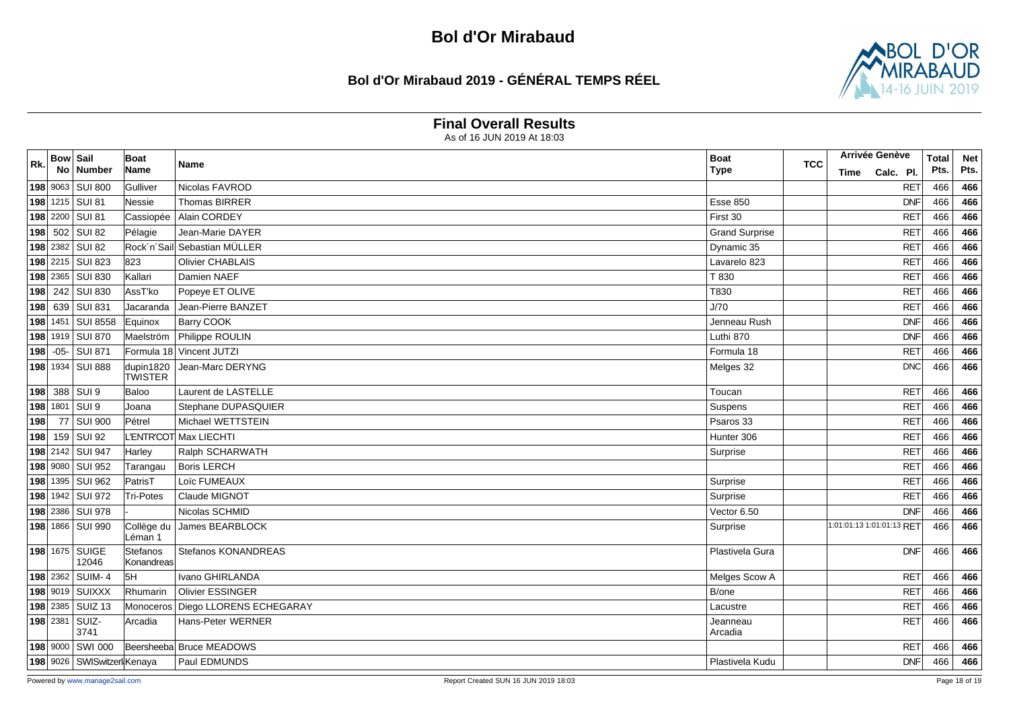## **Bol d'Or Mirabaud 2019 - GÉNÉRAL TEMPS RÉEL**



#### **Final Overall Results**

| Rk. | <b>Bow Sail</b> | No Number                  | <b>Boat</b><br>Name    | Name                         | <b>Boat</b><br><b>Type</b> | <b>TCC</b> | Time | Arrivée Genève<br>Calc. Pl. |            | <b>Total</b><br>Pts. | <b>Net</b><br>Pts. |
|-----|-----------------|----------------------------|------------------------|------------------------------|----------------------------|------------|------|-----------------------------|------------|----------------------|--------------------|
|     |                 | 198 9063 SUI 800           | Gulliver               | Nicolas FAVROD               |                            |            |      | <b>RET</b>                  |            | 466                  | 466                |
|     |                 | 198 1215 SUI 81            | Nessie                 | Thomas BIRRER                | <b>Esse 850</b>            |            |      | <b>DNF</b>                  |            | 466                  | 466                |
|     |                 | 198 2200 SUI 81            | Cassiopée              | Alain CORDEY                 | First 30                   |            |      | <b>RET</b>                  |            | 466                  | 466                |
|     |                 | 198 502 SUI 82             | Pélagie                | Jean-Marie DAYER             | <b>Grand Surprise</b>      |            |      | <b>RET</b>                  |            | 466                  | 466                |
|     |                 | 198 2382 SUI 82            |                        | Rock'n'Sail Sebastian MÜLLER | Dynamic 35                 |            |      | <b>RET</b>                  |            | 466                  | 466                |
|     |                 | 198 2215 SUI 823           | 823                    | Olivier CHABLAIS             | Lavarelo 823               |            |      | <b>RET</b>                  |            | 466                  | 466                |
|     |                 | 198 2365 SUI 830           | Kallari                | Damien NAEF                  | T 830                      |            |      | <b>RET</b>                  |            | 466                  | 466                |
|     |                 | 198 242 SUI 830            | AssT'ko                | Popeye ET OLIVE              | T830                       |            |      | <b>RET</b>                  |            | 466                  | 466                |
|     |                 | 198 639 SUI 831            | Jacaranda              | Jean-Pierre BANZET           | J/70                       |            |      | <b>RET</b>                  |            | 466                  | 466                |
|     |                 | 198 1451 SUI 8558          | Equinox                | Barry COOK                   | Jenneau Rush               |            |      | <b>DNF</b>                  |            | 466                  | 466                |
|     |                 | 198 1919 SUI 870           | Maelström              | Philippe ROULIN              | Luthi 870                  |            |      | <b>DNF</b>                  |            | 466                  | 466                |
| 198 |                 | $-05 -$ SUI 871            |                        | Formula 18 Vincent JUTZI     | Formula 18                 |            |      | <b>RET</b>                  |            | 466                  | 466                |
|     |                 | 198 1934 SUI 888           | dupin1820<br>TWISTER   | Jean-Marc DERYNG             | Melges 32                  |            |      |                             | DNC        | 466                  | 466                |
|     |                 | $ 198 $ 388 SUI 9          | Baloo                  | Laurent de LASTELLE          | Toucan                     |            |      |                             | RET        | 466                  | 466                |
|     |                 | 198 1801 SUI 9             | Joana                  | Stephane DUPASQUIER          | Suspens                    |            |      | <b>RET</b>                  |            | 466                  | 466                |
| 198 |                 | 77 SUI 900                 | Pétrel                 | Michael WETTSTEIN            | Psaros 33                  |            |      | <b>RET</b>                  |            | 466                  | 466                |
| 198 |                 | 159 SUI 92                 |                        | L'ENTR'COT Max LIECHTI       | Hunter 306                 |            |      | <b>RET</b>                  |            | 466                  | 466                |
|     |                 | 198 2142 SUI 947           | Harley                 | Ralph SCHARWATH              | Surprise                   |            |      | <b>RET</b>                  |            | 466                  | 466                |
|     |                 | 198 9080 SUI 952           | Tarangau               | <b>Boris LERCH</b>           |                            |            |      | <b>RET</b>                  |            | 466                  | 466                |
|     |                 | 198 1395 SUI 962           | PatrisT                | Loïc FUMEAUX                 | Surprise                   |            |      | <b>RET</b>                  |            | 466                  | 466                |
|     |                 | 198 1942 SUI 972           | Tri-Potes              | Claude MIGNOT                | Surprise                   |            |      | <b>RET</b>                  |            | 466                  | 466                |
|     |                 | 198 2386 SUI 978           |                        | Nicolas SCHMID               | Vector 6.50                |            |      | <b>DNF</b>                  |            | 466                  | 466                |
|     |                 | 198 1866 SUI 990           | Collège du<br>Léman 1  | James BEARBLOCK              | Surprise                   |            |      | 1:01:01:13 1:01:01:13 RET   |            | 466                  | 466                |
|     |                 | 198 1675 SUIGE<br>12046    | Stefanos<br>Konandreas | Stefanos KONANDREAS          | Plastivela Gura            |            |      |                             | <b>DNF</b> | 466                  | 466                |
|     |                 | 198 2362 SUIM-4            | 5H                     | Ivano GHIRLANDA              | Melges Scow A              |            |      | <b>RET</b>                  |            | 466                  | 466                |
|     |                 | 198 9019 SUIXXX            | Rhumarin               | <b>Olivier ESSINGER</b>      | B/one                      |            |      | <b>RET</b>                  |            | 466                  | 466                |
|     |                 | 198 2385 SUIZ 13           | Monoceros              | Diego LLORENS ECHEGARAY      | Lacustre                   |            |      | <b>RET</b>                  |            | 466                  | 466                |
|     |                 | 198 2381 SUIZ-<br>3741     | Arcadia                | Hans-Peter WERNER            | Jeanneau<br>Arcadia        |            |      | <b>RET</b>                  |            | 466                  | 466                |
|     |                 | 198 9000 SWI 000           |                        | Beersheeba Bruce MEADOWS     |                            |            |      | <b>RET</b>                  |            | 466                  | 466                |
|     |                 | 198 9026 SWISwitzerlKenaya |                        | Paul EDMUNDS                 | Plastivela Kudu            |            |      | <b>DNF</b>                  |            | 466                  | 466                |